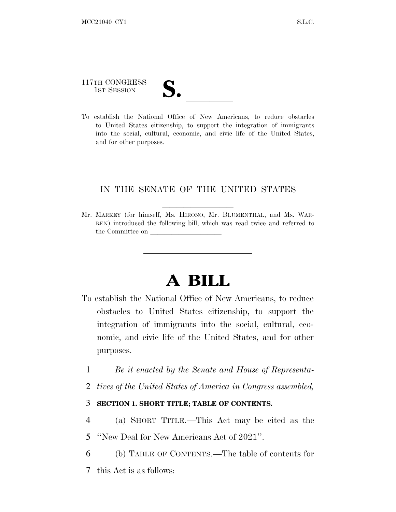# 117TH CONGRESS 117TH CONGRESS<br>
1ST SESSION<br>
To establish the National Office of New Americans, to reduce obstacles

to United States citizenship, to support the integration of immigrants into the social, cultural, economic, and civic life of the United States, and for other purposes.

#### IN THE SENATE OF THE UNITED STATES

Mr. MARKEY (for himself, Ms. HIRONO, Mr. BLUMENTHAL, and Ms. WAR-REN) introduced the following bill; which was read twice and referred to the Committee on

### **A BILL**

- To establish the National Office of New Americans, to reduce obstacles to United States citizenship, to support the integration of immigrants into the social, cultural, economic, and civic life of the United States, and for other purposes.
	- 1 *Be it enacted by the Senate and House of Representa-*
	- 2 *tives of the United States of America in Congress assembled,*

#### 3 **SECTION 1. SHORT TITLE; TABLE OF CONTENTS.**

- 4 (a) SHORT TITLE.—This Act may be cited as the
- 5 ''New Deal for New Americans Act of 2021''.
- 6 (b) TABLE OF CONTENTS.—The table of contents for
- 7 this Act is as follows: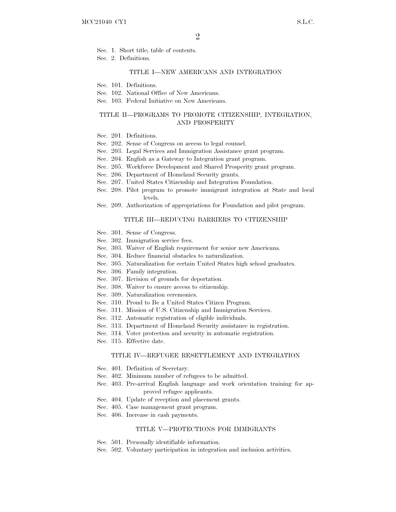Sec. 1. Short title; table of contents.

Sec. 2. Definitions.

#### TITLE I—NEW AMERICANS AND INTEGRATION

Sec. 101. Definitions.

- Sec. 102. National Office of New Americans.
- Sec. 103. Federal Initiative on New Americans.

#### TITLE II—PROGRAMS TO PROMOTE CITIZENSHIP, INTEGRATION, AND PROSPERITY

- Sec. 201. Definitions.
- Sec. 202. Sense of Congress on access to legal counsel.
- Sec. 203. Legal Services and Immigration Assistance grant program.
- Sec. 204. English as a Gateway to Integration grant program.
- Sec. 205. Workforce Development and Shared Prosperity grant program.
- Sec. 206. Department of Homeland Security grants.
- Sec. 207. United States Citizenship and Integration Foundation.
- Sec. 208. Pilot program to promote immigrant integration at State and local levels.
- Sec. 209. Authorization of appropriations for Foundation and pilot program.

#### TITLE III—REDUCING BARRIERS TO CITIZENSHIP

- Sec. 301. Sense of Congress.
- Sec. 302. Immigration service fees.
- Sec. 303. Waiver of English requirement for senior new Americans.
- Sec. 304. Reduce financial obstacles to naturalization.
- Sec. 305. Naturalization for certain United States high school graduates.
- Sec. 306. Family integration.
- Sec. 307. Revision of grounds for deportation.
- Sec. 308. Waiver to ensure access to citizenship.
- Sec. 309. Naturalization ceremonies.
- Sec. 310. Proud to Be a United States Citizen Program.
- Sec. 311. Mission of U.S. Citizenship and Immigration Services.
- Sec. 312. Automatic registration of eligible individuals.
- Sec. 313. Department of Homeland Security assistance in registration.
- Sec. 314. Voter protection and security in automatic registration.
- Sec. 315. Effective date.

#### TITLE IV—REFUGEE RESETTLEMENT AND INTEGRATION

- Sec. 401. Definition of Secretary.
- Sec. 402. Minimum number of refugees to be admitted.
- Sec. 403. Pre-arrival English language and work orientation training for approved refugee applicants.
- Sec. 404. Update of reception and placement grants.
- Sec. 405. Case management grant program.
- Sec. 406. Increase in cash payments.

#### TITLE V—PROTECTIONS FOR IMMIGRANTS

- Sec. 501. Personally identifiable information.
- Sec. 502. Voluntary participation in integration and inclusion activities.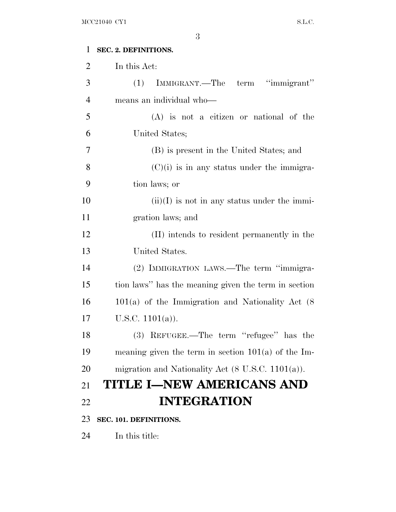## **SEC. 2. DEFINITIONS.** In this Act: (1) IMMIGRANT.—The term ''immigrant'' means an individual who— (A) is not a citizen or national of the United States; (B) is present in the United States; and 8  $(C)(i)$  is in any status under the immigra- tion laws; or 10 (ii)(I) is not in any status under the immi- gration laws; and (II) intends to resident permanently in the United States. (2) IMMIGRATION LAWS.—The term ''immigra- tion laws'' has the meaning given the term in section 101(a) of the Immigration and Nationality Act (8  $17 \quad U.S.C. 1101(a)$ . (3) REFUGEE.—The term ''refugee'' has the meaning given the term in section 101(a) of the Im- migration and Nationality Act (8 U.S.C. 1101(a)). **TITLE I—NEW AMERICANS AND INTEGRATION SEC. 101. DEFINITIONS.** In this title: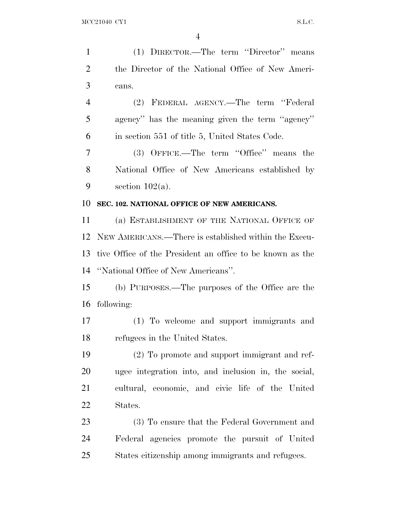(1) DIRECTOR.—The term ''Director'' means the Director of the National Office of New Ameri- cans. (2) FEDERAL AGENCY.—The term ''Federal agency'' has the meaning given the term ''agency'' in section 551 of title 5, United States Code. (3) OFFICE.—The term ''Office'' means the National Office of New Americans established by 9 section  $102(a)$ . **SEC. 102. NATIONAL OFFICE OF NEW AMERICANS.** (a) ESTABLISHMENT OF THE NATIONAL OFFICE OF NEW AMERICANS.—There is established within the Execu- tive Office of the President an office to be known as the ''National Office of New Americans''. (b) PURPOSES.—The purposes of the Office are the following: (1) To welcome and support immigrants and refugees in the United States. (2) To promote and support immigrant and ref- ugee integration into, and inclusion in, the social, cultural, economic, and civic life of the United States. (3) To ensure that the Federal Government and Federal agencies promote the pursuit of United States citizenship among immigrants and refugees.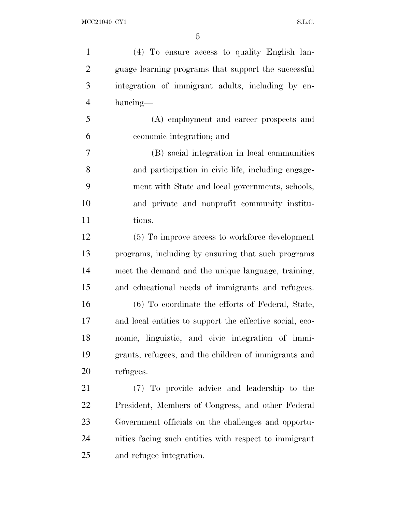| $\mathbf{1}$   | (4) To ensure access to quality English lan-             |
|----------------|----------------------------------------------------------|
| $\overline{2}$ | guage learning programs that support the successful      |
| 3              | integration of immigrant adults, including by en-        |
| $\overline{4}$ | hancing—                                                 |
| 5              | (A) employment and career prospects and                  |
| 6              | economic integration; and                                |
| 7              | (B) social integration in local communities              |
| 8              | and participation in civic life, including engage-       |
| 9              | ment with State and local governments, schools,          |
| 10             | and private and nonprofit community institu-             |
| 11             | tions.                                                   |
| 12             | (5) To improve access to workforce development           |
| 13             | programs, including by ensuring that such programs       |
| 14             | meet the demand and the unique language, training,       |
| 15             | and educational needs of immigrants and refugees.        |
| 16             | (6) To coordinate the efforts of Federal, State,         |
| 17             | and local entities to support the effective social, eco- |
| 18             | nomic, linguistic, and civic integration of immi-        |
| 19             | grants, refugees, and the children of immigrants and     |
| 20             | refugees.                                                |
| 21             | (7) To provide advice and leadership to the              |
| 22             | President, Members of Congress, and other Federal        |
| 23             | Government officials on the challenges and opportu-      |
| 24             | nities facing such entities with respect to immigrant    |
| 25             | and refugee integration.                                 |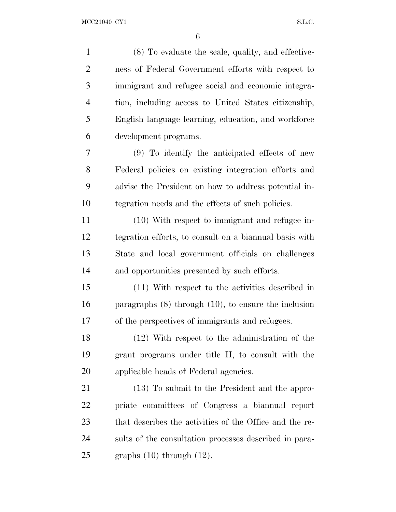(8) To evaluate the scale, quality, and effective- ness of Federal Government efforts with respect to immigrant and refugee social and economic integra- tion, including access to United States citizenship, English language learning, education, and workforce development programs. (9) To identify the anticipated effects of new Federal policies on existing integration efforts and advise the President on how to address potential in- tegration needs and the effects of such policies. (10) With respect to immigrant and refugee in- tegration efforts, to consult on a biannual basis with State and local government officials on challenges and opportunities presented by such efforts. (11) With respect to the activities described in paragraphs (8) through (10), to ensure the inclusion of the perspectives of immigrants and refugees. (12) With respect to the administration of the grant programs under title II, to consult with the applicable heads of Federal agencies. (13) To submit to the President and the appro- priate committees of Congress a biannual report that describes the activities of the Office and the re- sults of the consultation processes described in para-25 graphs  $(10)$  through  $(12)$ .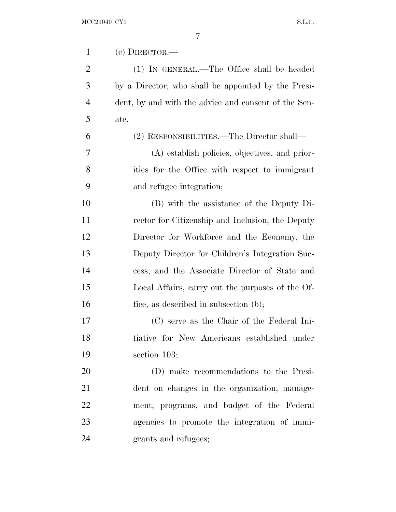| $\mathbf{1}$   | (c) DIRECTOR.—                                       |
|----------------|------------------------------------------------------|
| $\overline{2}$ | (1) IN GENERAL.—The Office shall be headed           |
| 3              | by a Director, who shall be appointed by the Presi-  |
| $\overline{4}$ | dent, by and with the advice and consent of the Sen- |
| 5              | ate.                                                 |
| 6              | (2) RESPONSIBILITIES.—The Director shall—            |
| 7              | (A) establish policies, objectives, and prior-       |
| 8              | ities for the Office with respect to immigrant       |
| 9              | and refugee integration;                             |
| 10             | (B) with the assistance of the Deputy Di-            |
| 11             | rector for Citizenship and Inclusion, the Deputy     |
| 12             | Director for Workforce and the Economy, the          |
| 13             | Deputy Director for Children's Integration Suc-      |
| 14             | cess, and the Associate Director of State and        |
| 15             | Local Affairs, carry out the purposes of the Of-     |
| 16             | fice, as described in subsection (b);                |
| 17             | (C) serve as the Chair of the Federal Ini-           |
| 18             | tiative for New Americans established under          |
| 19             | section $103$ ;                                      |
| 20             | (D) make recommendations to the Presi-               |
| 21             | dent on changes in the organization, manage-         |
| 22             | ment, programs, and budget of the Federal            |
| 23             | agencies to promote the integration of immi-         |
| 24             | grants and refugees;                                 |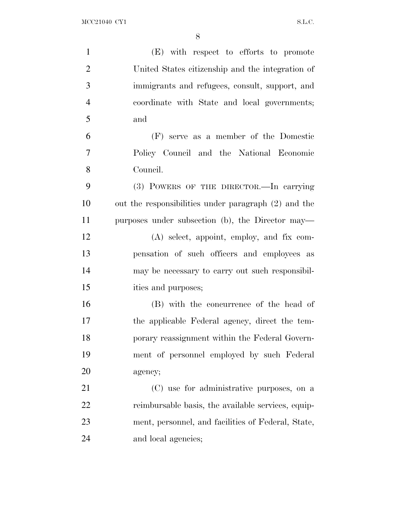| $\mathbf{1}$   | (E) with respect to efforts to promote               |
|----------------|------------------------------------------------------|
| $\overline{2}$ | United States citizenship and the integration of     |
| 3              | immigrants and refugees, consult, support, and       |
| $\overline{4}$ | coordinate with State and local governments;         |
| 5              | and                                                  |
| 6              | (F) serve as a member of the Domestic                |
| $\tau$         | Policy Council and the National Economic             |
| 8              | Council.                                             |
| 9              | (3) POWERS OF THE DIRECTOR.—In carrying              |
| 10             | out the responsibilities under paragraph (2) and the |
| 11             | purposes under subsection (b), the Director may—     |
| 12             | $(A)$ select, appoint, employ, and fix com-          |
| 13             | pensation of such officers and employees as          |
| 14             | may be necessary to carry out such responsibil-      |
| 15             | ities and purposes;                                  |
| 16             | (B) with the concurrence of the head of              |
| 17             | the applicable Federal agency, direct the tem-       |
| 18             | porary reassignment within the Federal Govern-       |
| 19             | ment of personnel employed by such Federal           |
| 20             | agency;                                              |
| 21             | (C) use for administrative purposes, on a            |
| 22             | reimbursable basis, the available services, equip-   |
| 23             | ment, personnel, and facilities of Federal, State,   |
| 24             | and local agencies;                                  |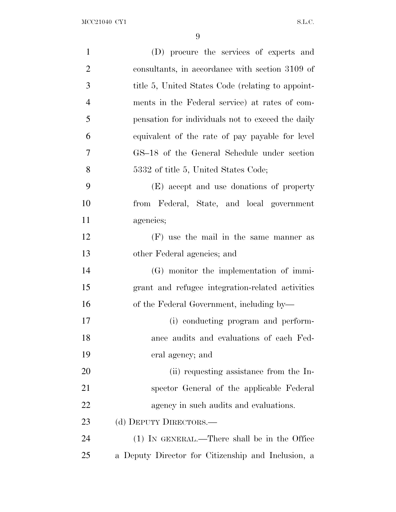| $\mathbf{1}$   | (D) procure the services of experts and            |
|----------------|----------------------------------------------------|
| $\overline{2}$ | consultants, in accordance with section 3109 of    |
| 3              | title 5, United States Code (relating to appoint-  |
| $\overline{4}$ | ments in the Federal service) at rates of com-     |
| 5              | pensation for individuals not to exceed the daily  |
| 6              | equivalent of the rate of pay payable for level    |
| 7              | GS-18 of the General Schedule under section        |
| 8              | 5332 of title 5, United States Code;               |
| 9              | (E) accept and use donations of property           |
| 10             | from Federal, State, and local government          |
| 11             | agencies;                                          |
| 12             | (F) use the mail in the same manner as             |
| 13             | other Federal agencies; and                        |
| 14             | (G) monitor the implementation of immi-            |
| 15             | grant and refugee integration-related activities   |
| 16             | of the Federal Government, including by-           |
| 17             | (i) conducting program and perform-                |
| 18             | ance audits and evaluations of each Fed-           |
| 19             | eral agency; and                                   |
| 20             | (ii) requesting assistance from the In-            |
| 21             | spector General of the applicable Federal          |
| 22             | agency in such audits and evaluations.             |
| 23             | (d) DEPUTY DIRECTORS.—                             |
| 24             | (1) IN GENERAL.—There shall be in the Office       |
| 25             | a Deputy Director for Citizenship and Inclusion, a |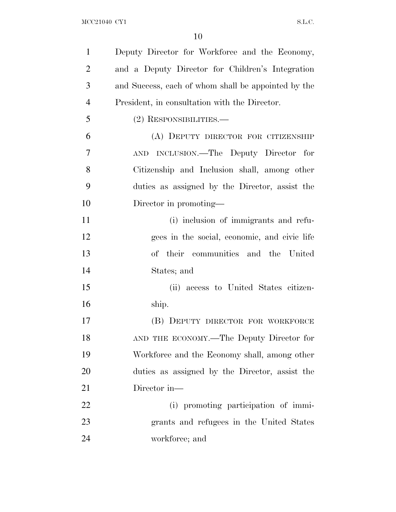| $\mathbf{1}$   | Deputy Director for Workforce and the Economy,      |
|----------------|-----------------------------------------------------|
| $\overline{2}$ | and a Deputy Director for Children's Integration    |
| 3              | and Success, each of whom shall be appointed by the |
| $\overline{4}$ | President, in consultation with the Director.       |
| 5              | (2) RESPONSIBILITIES.—                              |
| 6              | (A) DEPUTY DIRECTOR FOR CITIZENSHIP                 |
| 7              | AND INCLUSION.—The Deputy Director for              |
| 8              | Citizenship and Inclusion shall, among other        |
| 9              | duties as assigned by the Director, assist the      |
| 10             | Director in promoting—                              |
| 11             | (i) inclusion of immigrants and refu-               |
| 12             | gees in the social, economic, and civic life        |
| 13             | of their communities and the United                 |
| 14             | States; and                                         |
| 15             | (ii) access to United States citizen-               |
| 16             | ship.                                               |
| 17             | (B) DEPUTY DIRECTOR FOR WORKFORCE                   |
| 18             | AND THE ECONOMY.—The Deputy Director for            |
| 19             | Workforce and the Economy shall, among other        |
| 20             | duties as assigned by the Director, assist the      |
| 21             | Director in—                                        |
| 22             | (i) promoting participation of immi-                |
| 23             | grants and refugees in the United States            |
| 24             | workforce; and                                      |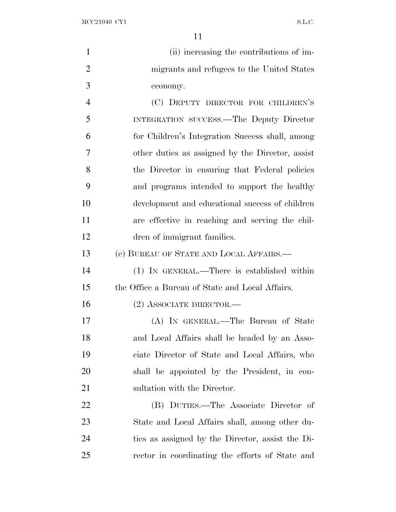$\rm{MCC21040\;\;CY1} \qquad \qquad$ 

| $\mathbf{1}$   | (ii) increasing the contributions of im-         |
|----------------|--------------------------------------------------|
| $\overline{2}$ | migrants and refugees to the United States       |
| 3              | economy.                                         |
| $\overline{4}$ | (C) DEPUTY DIRECTOR FOR CHILDREN'S               |
| 5              | INTEGRATION SUCCESS.—The Deputy Director         |
| 6              | for Children's Integration Success shall, among  |
| 7              | other duties as assigned by the Director, assist |
| 8              | the Director in ensuring that Federal policies   |
| 9              | and programs intended to support the healthy     |
| 10             | development and educational success of children  |
| 11             | are effective in reaching and serving the chil-  |
| 12             | dren of immigrant families.                      |
| 13             | (e) BUREAU OF STATE AND LOCAL AFFAIRS.—          |
| 14             | (1) IN GENERAL.—There is established within      |
| 15             | the Office a Bureau of State and Local Affairs.  |
| 16             | $(2)$ ASSOCIATE DIRECTOR.—                       |
| 17             | (A) IN GENERAL.—The Bureau of State              |
| 18             | and Local Affairs shall be headed by an Asso-    |
| 19             | ciate Director of State and Local Affairs, who   |
| 20             | shall be appointed by the President, in con-     |
| 21             | sultation with the Director.                     |
| 22             | (B) DUTIES.—The Associate Director of            |
| 23             | State and Local Affairs shall, among other du-   |
| 24             | ties as assigned by the Director, assist the Di- |
| 25             | rector in coordinating the efforts of State and  |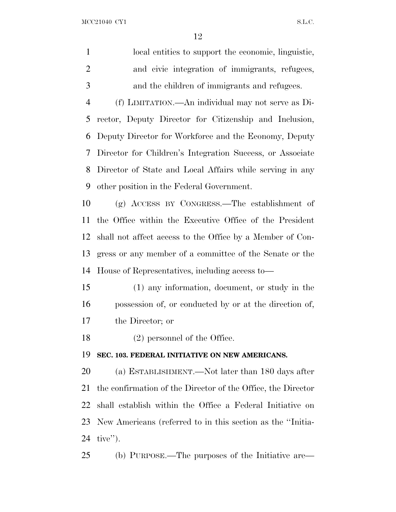$\rm{MCC21040\;\;CY1} \label{eq:1}$ 

| $\mathbf{1}$   | local entities to support the economic, linguistic,          |
|----------------|--------------------------------------------------------------|
| $\overline{2}$ | and civic integration of immigrants, refugees,               |
| 3              | and the children of immigrants and refugees.                 |
| $\overline{4}$ | (f) LIMITATION.—An individual may not serve as Di-           |
| 5              | rector, Deputy Director for Citizenship and Inclusion,       |
| 6              | Deputy Director for Workforce and the Economy, Deputy        |
| 7              | Director for Children's Integration Success, or Associate    |
| 8              | Director of State and Local Affairs while serving in any     |
| 9              | other position in the Federal Government.                    |
| 10             | $(g)$ ACCESS BY CONGRESS.—The establishment of               |
| 11             | the Office within the Executive Office of the President      |
| 12             | shall not affect access to the Office by a Member of Con-    |
| 13             | gress or any member of a committee of the Senate or the      |
| 14             | House of Representatives, including access to-               |
| 15             | (1) any information, document, or study in the               |
| 16             | possession of, or conducted by or at the direction of,       |
| 17             | the Director; or                                             |
| 18             | $(2)$ personnel of the Office.                               |
| 19             | SEC. 103. FEDERAL INITIATIVE ON NEW AMERICANS.               |
| 20             | (a) ESTABLISHMENT.—Not later than 180 days after             |
| 21             | the confirmation of the Director of the Office, the Director |
| 22             | shall establish within the Office a Federal Initiative on    |
| 23             | New Americans (referred to in this section as the "Initia-   |
| 24             | $tive$ ").                                                   |
| 25             | (b) PURPOSE.—The purposes of the Initiative are—             |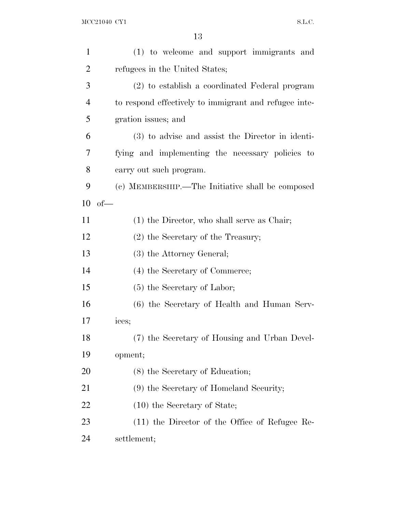| $\mathbf{1}$   | (1) to welcome and support immigrants and             |
|----------------|-------------------------------------------------------|
| $\overline{2}$ | refugees in the United States;                        |
| 3              | (2) to establish a coordinated Federal program        |
| 4              | to respond effectively to immigrant and refugee inte- |
| 5              | gration issues; and                                   |
| 6              | (3) to advise and assist the Director in identi-      |
| 7              | fying and implementing the necessary policies to      |
| 8              | carry out such program.                               |
| 9              | (c) MEMBERSHIP.—The Initiative shall be composed      |
| 10             | $of$ —                                                |
| 11             | $(1)$ the Director, who shall serve as Chair;         |
| 12             | $(2)$ the Secretary of the Treasury;                  |
| 13             | (3) the Attorney General;                             |
| 14             | (4) the Secretary of Commerce;                        |
| 15             | $(5)$ the Secretary of Labor;                         |
| 16             | (6) the Secretary of Health and Human Serv-           |
| 17             | ices;                                                 |
| 18             | (7) the Secretary of Housing and Urban Devel-         |
| 19             | opment;                                               |
| 20             | (8) the Secretary of Education;                       |
| 21             | (9) the Secretary of Homeland Security;               |
| 22             | $(10)$ the Secretary of State;                        |
| 23             | $(11)$ the Director of the Office of Refugee Re-      |
| 24             | settlement;                                           |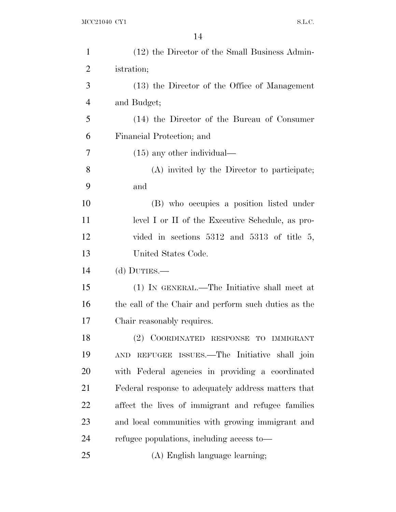| $\mathbf{1}$   | (12) the Director of the Small Business Admin-       |
|----------------|------------------------------------------------------|
| $\overline{2}$ | istration;                                           |
| 3              | (13) the Director of the Office of Management        |
| $\overline{4}$ | and Budget;                                          |
| 5              | (14) the Director of the Bureau of Consumer          |
| 6              | Financial Protection; and                            |
| 7              | $(15)$ any other individual—                         |
| 8              | (A) invited by the Director to participate;          |
| 9              | and                                                  |
| 10             | (B) who occupies a position listed under             |
| 11             | level I or II of the Executive Schedule, as pro-     |
| 12             | vided in sections $5312$ and $5313$ of title 5,      |
| 13             | United States Code.                                  |
| 14             | (d) DUTIES.—                                         |
| 15             | (1) IN GENERAL.—The Initiative shall meet at         |
| 16             | the call of the Chair and perform such duties as the |
| 17             | Chair reasonably requires.                           |
| 18             | (2) COORDINATED RESPONSE TO IMMIGRANT                |
| 19             | AND REFUGEE ISSUES.—The Initiative shall join        |
| 20             | with Federal agencies in providing a coordinated     |
| 21             | Federal response to adequately address matters that  |
| 22             | affect the lives of immigrant and refugee families   |
| 23             | and local communities with growing immigrant and     |
| 24             | refugee populations, including access to—            |
| 25             | (A) English language learning;                       |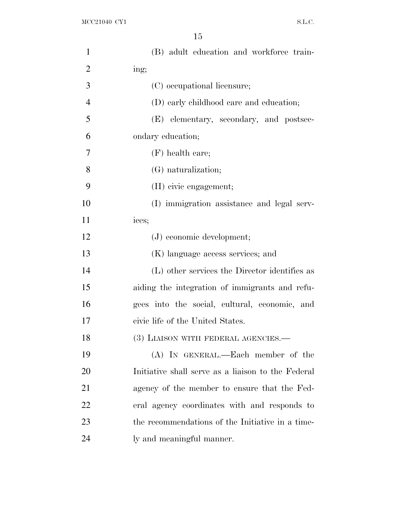| $\mathbf{1}$   | (B) adult education and workforce train-           |
|----------------|----------------------------------------------------|
| $\overline{2}$ | ing;                                               |
| 3              | (C) occupational licensure;                        |
| $\overline{4}$ | (D) early childhood care and education;            |
| 5              | (E) elementary, secondary, and postsec-            |
| 6              | ondary education;                                  |
| $\overline{7}$ | $(F)$ health care;                                 |
| 8              | (G) naturalization;                                |
| 9              | (H) civic engagement;                              |
| 10             | (I) immigration assistance and legal serv-         |
| 11             | ices;                                              |
| 12             | $(J)$ economic development;                        |
| 13             | (K) language access services; and                  |
| 14             | (L) other services the Director identifies as      |
| 15             | aiding the integration of immigrants and refu-     |
| 16             | gees into the social, cultural, economic, and      |
| 17             | civic life of the United States.                   |
| 18             | (3) LIAISON WITH FEDERAL AGENCIES.-                |
| 19             | (A) IN GENERAL.—Each member of the                 |
| 20             | Initiative shall serve as a liaison to the Federal |
| 21             | agency of the member to ensure that the Fed-       |
| 22             | eral agency coordinates with and responds to       |
| 23             | the recommendations of the Initiative in a time-   |
| 24             | ly and meaningful manner.                          |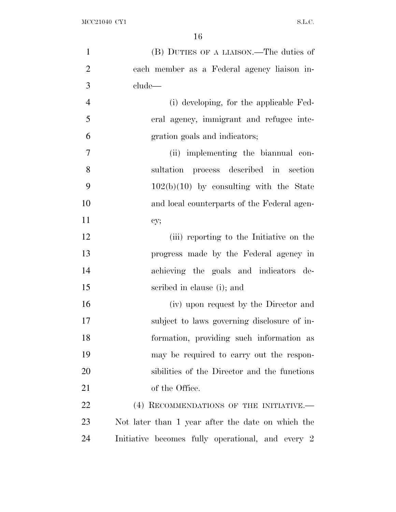| $\mathbf{1}$   | (B) DUTIES OF A LIAISON.—The duties of            |
|----------------|---------------------------------------------------|
| $\overline{2}$ | each member as a Federal agency liaison in-       |
| 3              | clude—                                            |
| $\overline{4}$ | (i) developing, for the applicable Fed-           |
| 5              | eral agency, immigrant and refugee inte-          |
| 6              | gration goals and indicators;                     |
| $\tau$         | (ii) implementing the biannual con-               |
| 8              | sultation process described in section            |
| 9              | $102(b)(10)$ by consulting with the State         |
| 10             | and local counterparts of the Federal agen-       |
| 11             | cy;                                               |
| 12             | (iii) reporting to the Initiative on the          |
| 13             | progress made by the Federal agency in            |
| 14             | achieving the goals and indicators de-            |
| 15             | scribed in clause (i); and                        |
| 16             | (iv) upon request by the Director and             |
| 17             | subject to laws governing disclosure of in-       |
| 18             | formation, providing such information as          |
| 19             | may be required to carry out the respon-          |
| 20             | sibilities of the Director and the functions      |
| 21             | of the Office.                                    |
| 22             | (4) RECOMMENDATIONS OF THE INITIATIVE.-           |
| 23             | Not later than 1 year after the date on which the |
| 24             | Initiative becomes fully operational, and every 2 |
|                |                                                   |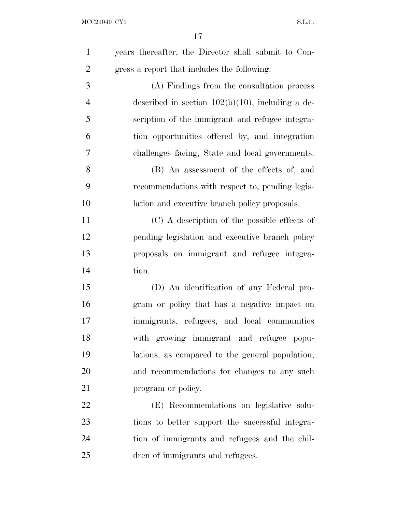| $\mathbf{1}$   | years thereafter, the Director shall submit to Con- |
|----------------|-----------------------------------------------------|
| $\overline{2}$ | gress a report that includes the following:         |
| 3              | (A) Findings from the consultation process          |
| $\overline{4}$ | described in section $102(b)(10)$ , including a de- |
| 5              | scription of the immigrant and refugee integra-     |
| 6              | tion opportunities offered by, and integration      |
| 7              | challenges facing, State and local governments.     |
| 8              | (B) An assessment of the effects of, and            |
| 9              | recommendations with respect to, pending legis-     |
| 10             | lation and executive branch policy proposals.       |
| 11             | (C) A description of the possible effects of        |
| 12             | pending legislation and executive branch policy     |
| 13             | proposals on immigrant and refugee integra-         |
| 14             | tion.                                               |
| 15             | (D) An identification of any Federal pro-           |
| 16             | gram or policy that has a negative impact on        |
| 17             | immigrants, refugees, and local communities         |
| 18             | with growing immigrant and refugee popu-            |
| 19             | lations, as compared to the general population,     |
| 20             | and recommendations for changes to any such         |
| 21             | program or policy.                                  |
| 22             | (E) Recommendations on legislative solu-            |
| 23             | tions to better support the successful integra-     |
| 24             | tion of immigrants and refugees and the chil-       |
| 25             | dren of immigrants and refugees.                    |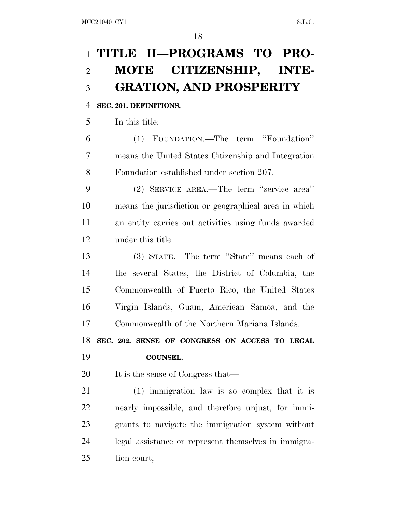## **TITLE II—PROGRAMS TO PRO- MOTE CITIZENSHIP, INTE-GRATION, AND PROSPERITY**

#### **SEC. 201. DEFINITIONS.**

In this title:

 (1) FOUNDATION.—The term ''Foundation'' means the United States Citizenship and Integration Foundation established under section 207.

 (2) SERVICE AREA.—The term ''service area'' means the jurisdiction or geographical area in which an entity carries out activities using funds awarded under this title.

 (3) STATE.—The term ''State'' means each of the several States, the District of Columbia, the Commonwealth of Puerto Rico, the United States Virgin Islands, Guam, American Samoa, and the Commonwealth of the Northern Mariana Islands.

 **SEC. 202. SENSE OF CONGRESS ON ACCESS TO LEGAL COUNSEL.**

20 It is the sense of Congress that—

 (1) immigration law is so complex that it is nearly impossible, and therefore unjust, for immi- grants to navigate the immigration system without legal assistance or represent themselves in immigra-tion court;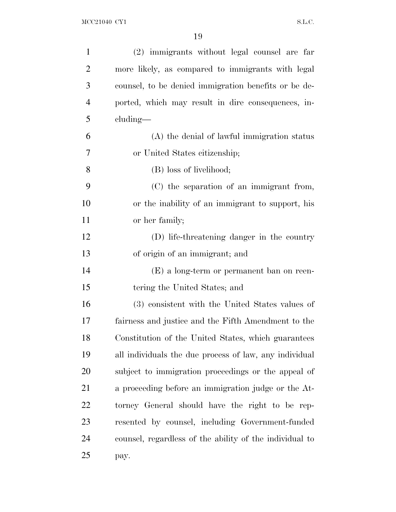| $\mathbf{1}$   | (2) immigrants without legal counsel are far            |
|----------------|---------------------------------------------------------|
| $\overline{2}$ | more likely, as compared to immigrants with legal       |
| 3              | counsel, to be denied immigration benefits or be de-    |
| $\overline{4}$ | ported, which may result in dire consequences, in-      |
| 5              | $cluding$ —                                             |
| 6              | (A) the denial of lawful immigration status             |
| 7              | or United States citizenship;                           |
| 8              | (B) loss of livelihood;                                 |
| 9              | (C) the separation of an immigrant from,                |
| 10             | or the inability of an immigrant to support, his        |
| 11             | or her family;                                          |
| 12             | (D) life-threatening danger in the country              |
| 13             | of origin of an immigrant; and                          |
| 14             | $(E)$ a long-term or permanent ban on reen-             |
| 15             | tering the United States; and                           |
| 16             | (3) consistent with the United States values of         |
| 17             | fairness and justice and the Fifth Amendment to the     |
| 18             | Constitution of the United States, which guarantees     |
| 19             | all individuals the due process of law, any individual  |
| 20             | subject to immigration proceedings or the appeal of     |
| 21             | a proceeding before an immigration judge or the At-     |
| 22             | torney General should have the right to be rep-         |
| 23             | resented by counsel, including Government-funded        |
| 24             | counsel, regardless of the ability of the individual to |
| 25             | pay.                                                    |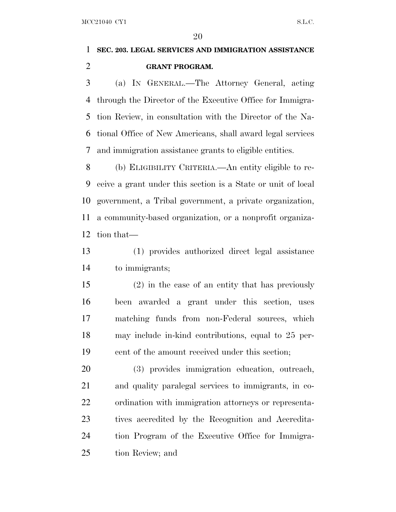### **SEC. 203. LEGAL SERVICES AND IMMIGRATION ASSISTANCE GRANT PROGRAM.**

 (a) I<sup>N</sup> GENERAL.—The Attorney General, acting through the Director of the Executive Office for Immigra- tion Review, in consultation with the Director of the Na- tional Office of New Americans, shall award legal services and immigration assistance grants to eligible entities.

 (b) ELIGIBILITY CRITERIA.—An entity eligible to re- ceive a grant under this section is a State or unit of local government, a Tribal government, a private organization, a community-based organization, or a nonprofit organiza-tion that—

 (1) provides authorized direct legal assistance to immigrants;

 (2) in the case of an entity that has previously been awarded a grant under this section, uses matching funds from non-Federal sources, which may include in-kind contributions, equal to 25 per-cent of the amount received under this section;

 (3) provides immigration education, outreach, and quality paralegal services to immigrants, in co- ordination with immigration attorneys or representa- tives accredited by the Recognition and Accredita- tion Program of the Executive Office for Immigra-tion Review; and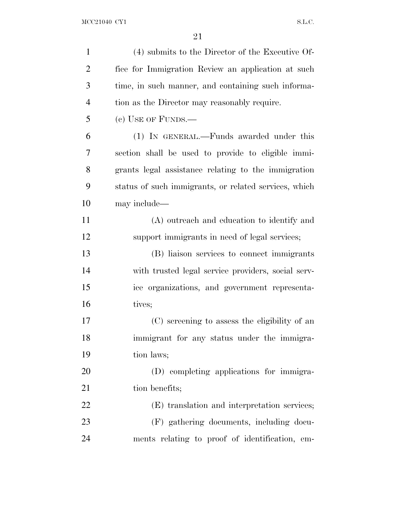| $\mathbf{1}$   | (4) submits to the Director of the Executive Of-      |
|----------------|-------------------------------------------------------|
| $\overline{2}$ | fice for Immigration Review an application at such    |
| 3              | time, in such manner, and containing such informa-    |
| $\overline{4}$ | tion as the Director may reasonably require.          |
| 5              | $(c)$ USE OF FUNDS.—                                  |
| 6              | (1) IN GENERAL.—Funds awarded under this              |
| 7              | section shall be used to provide to eligible immi-    |
| 8              | grants legal assistance relating to the immigration   |
| 9              | status of such immigrants, or related services, which |
| 10             | may include—                                          |
| 11             | (A) outreach and education to identify and            |
| 12             | support immigrants in need of legal services;         |
| 13             | (B) liaison services to connect immigrants            |
| 14             | with trusted legal service providers, social serv-    |
| 15             | ice organizations, and government representa-         |
| 16             | tives;                                                |
| 17             | (C) screening to assess the eligibility of an         |
| 18             | immigrant for any status under the immigra-           |
| 19             | tion laws;                                            |
| 20             | (D) completing applications for immigra-              |
| 21             | tion benefits;                                        |
| 22             | (E) translation and interpretation services;          |
| 23             | (F) gathering documents, including docu-              |
| 24             | ments relating to proof of identification, em-        |
|                |                                                       |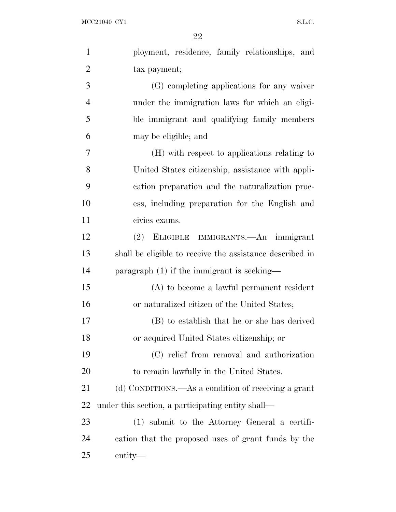| $\mathbf{1}$   | ployment, residence, family relationships, and           |
|----------------|----------------------------------------------------------|
| $\overline{2}$ | tax payment;                                             |
| 3              | (G) completing applications for any waiver               |
| $\overline{4}$ | under the immigration laws for which an eligi-           |
| 5              | ble immigrant and qualifying family members              |
| 6              | may be eligible; and                                     |
| 7              | (H) with respect to applications relating to             |
| 8              | United States citizenship, assistance with appli-        |
| 9              | cation preparation and the naturalization proc-          |
| 10             | ess, including preparation for the English and           |
| 11             | civics exams.                                            |
| 12             | ELIGIBLE IMMIGRANTS.—An immigrant<br>(2)                 |
| 13             | shall be eligible to receive the assistance described in |
| 14             | paragraph $(1)$ if the immigrant is seeking—             |
| 15             | $(A)$ to become a lawful permanent resident              |
| 16             | or naturalized citizen of the United States;             |
| 17             | (B) to establish that he or she has derived              |
| 18             | or acquired United States citizenship; or                |
| 19             | (C) relief from removal and authorization                |
| 20             | to remain lawfully in the United States.                 |
| 21             | (d) CONDITIONS.—As a condition of receiving a grant      |
| 22             | under this section, a participating entity shall—        |
| 23             | (1) submit to the Attorney General a certifi-            |
| 24             | cation that the proposed uses of grant funds by the      |
| 25             | entity—                                                  |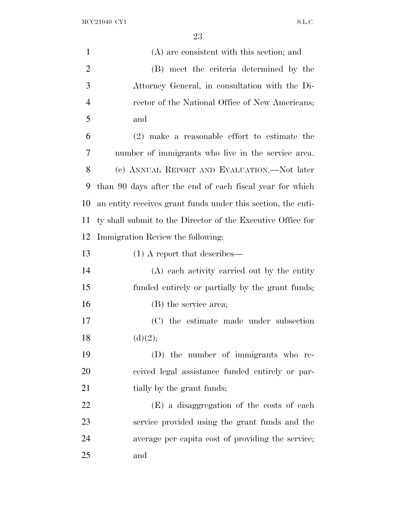$\rm{MCC21040\;\;CY1} \label{eq:1.1}$ 

| $\mathbf{1}$   | (A) are consistent with this section; and                    |
|----------------|--------------------------------------------------------------|
| $\overline{2}$ | (B) meet the criteria determined by the                      |
| 3              | Attorney General, in consultation with the Di-               |
| $\overline{4}$ | rector of the National Office of New Americans;              |
| 5              | and                                                          |
| 6              | $(2)$ make a reasonable effort to estimate the               |
| 7              | number of immigrants who live in the service area.           |
| 8              | (e) ANNUAL REPORT AND EVALUATION.—Not later                  |
| 9              | than 90 days after the end of each fiscal year for which     |
| 10             | an entity receives grant funds under this section, the enti- |
| 11             | ty shall submit to the Director of the Executive Office for  |
| 12             | Immigration Review the following:                            |
| 13             | $(1)$ A report that describes—                               |
| 14             | (A) each activity carried out by the entity                  |
| 15             | funded entirely or partially by the grant funds;             |
| 16             | (B) the service area;                                        |
| 17             | (C) the estimate made under subsection                       |
| 18             | (d)(2);                                                      |
| 19             | (D) the number of immigrants who re-                         |
| 20             | ceived legal assistance funded entirely or par-              |
| 21             | tially by the grant funds;                                   |
| 22             | (E) a disaggregation of the costs of each                    |
| 23             | service provided using the grant funds and the               |
| 24             | average per capita cost of providing the service;            |
| 25             | and                                                          |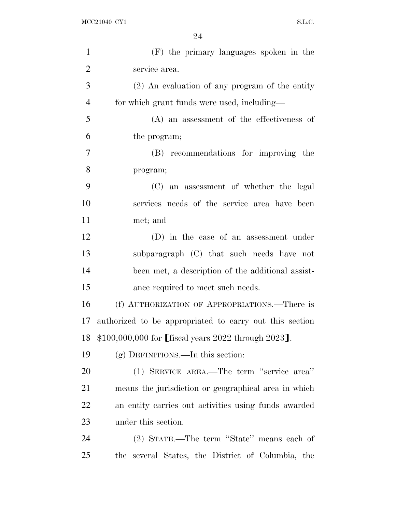| $\mathbf{1}$   | (F) the primary languages spoken in the                 |
|----------------|---------------------------------------------------------|
| $\overline{2}$ | service area.                                           |
| 3              | $(2)$ An evaluation of any program of the entity        |
| $\overline{4}$ | for which grant funds were used, including—             |
| 5              | $(A)$ an assessment of the effectiveness of             |
| 6              | the program;                                            |
| 7              | (B) recommendations for improving the                   |
| 8              | program;                                                |
| 9              | (C) an assessment of whether the legal                  |
| 10             | services needs of the service area have been            |
| 11             | met; and                                                |
| 12             | (D) in the case of an assessment under                  |
| 13             | subparagraph (C) that such needs have not               |
| 14             | been met, a description of the additional assist-       |
| 15             | ance required to meet such needs.                       |
| 16             | (f) AUTHORIZATION OF APPROPRIATIONS.—There is           |
| 17             | authorized to be appropriated to carry out this section |
| 18             | \$100,000,000 for [fiscal years 2022 through 2023].     |
| 19             | $(g)$ DEFINITIONS.—In this section:                     |
| 20             | (1) SERVICE AREA.—The term "service area"               |
| 21             | means the jurisdiction or geographical area in which    |
| <u>22</u>      | an entity carries out activities using funds awarded    |
| 23             | under this section.                                     |
| 24             | (2) STATE.—The term "State" means each of               |
| 25             | the several States, the District of Columbia, the       |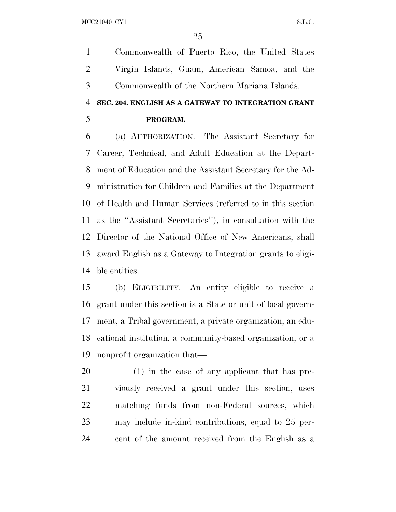Commonwealth of Puerto Rico, the United States Virgin Islands, Guam, American Samoa, and the Commonwealth of the Northern Mariana Islands.

### **SEC. 204. ENGLISH AS A GATEWAY TO INTEGRATION GRANT PROGRAM.**

 (a) AUTHORIZATION.—The Assistant Secretary for Career, Technical, and Adult Education at the Depart- ment of Education and the Assistant Secretary for the Ad- ministration for Children and Families at the Department of Health and Human Services (referred to in this section as the ''Assistant Secretaries''), in consultation with the Director of the National Office of New Americans, shall award English as a Gateway to Integration grants to eligi-ble entities.

 (b) ELIGIBILITY.—An entity eligible to receive a grant under this section is a State or unit of local govern- ment, a Tribal government, a private organization, an edu- cational institution, a community-based organization, or a nonprofit organization that—

 (1) in the case of any applicant that has pre- viously received a grant under this section, uses matching funds from non-Federal sources, which may include in-kind contributions, equal to 25 per-cent of the amount received from the English as a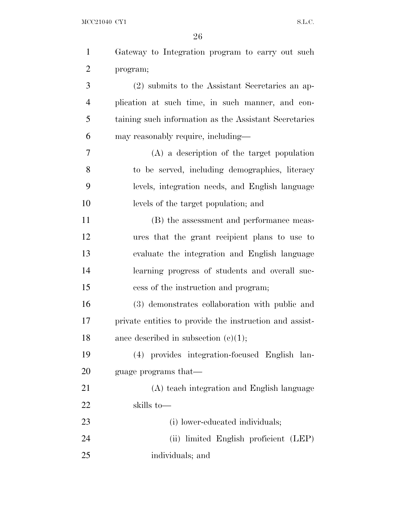| $\mathbf{1}$   | Gateway to Integration program to carry out such        |
|----------------|---------------------------------------------------------|
| $\overline{2}$ | program;                                                |
| 3              | (2) submits to the Assistant Secretaries an ap-         |
| $\overline{4}$ | plication at such time, in such manner, and con-        |
| 5              | taining such information as the Assistant Secretaries   |
| 6              | may reasonably require, including—                      |
| 7              | $(A)$ a description of the target population            |
| 8              | to be served, including demographics, literacy          |
| 9              | levels, integration needs, and English language         |
| 10             | levels of the target population; and                    |
| 11             | (B) the assessment and performance meas-                |
| 12             | ures that the grant recipient plans to use to           |
| 13             | evaluate the integration and English language           |
| 14             | learning progress of students and overall suc-          |
| 15             | cess of the instruction and program;                    |
| 16             | (3) demonstrates collaboration with public and          |
| 17             | private entities to provide the instruction and assist- |
| 18             | ance described in subsection $(c)(1);$                  |
| 19             | (4) provides integration-focused English lan-           |
| 20             | guage programs that—                                    |
| 21             | (A) teach integration and English language              |
| 22             | skills to-                                              |
| 23             | (i) lower-educated individuals;                         |
| 24             | (ii) limited English proficient (LEP)                   |
| 25             | individuals; and                                        |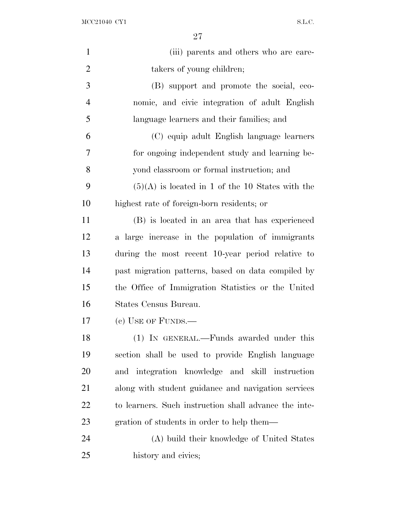$\rm{MCC21040\;\;CY1} \label{eq:1.1}$ 

| $\mathbf{1}$   | (iii) parents and others who are care-                |
|----------------|-------------------------------------------------------|
| $\overline{2}$ | takers of young children;                             |
| 3              | (B) support and promote the social, eco-              |
| $\overline{4}$ | nomic, and civic integration of adult English         |
| 5              | language learners and their families; and             |
| 6              | (C) equip adult English language learners             |
| 7              | for ongoing independent study and learning be-        |
| 8              | yond classroom or formal instruction; and             |
| 9              | $(5)(A)$ is located in 1 of the 10 States with the    |
| 10             | highest rate of foreign-born residents; or            |
| 11             | (B) is located in an area that has experienced        |
| 12             | a large increase in the population of immigrants      |
| 13             | during the most recent 10-year period relative to     |
| 14             | past migration patterns, based on data compiled by    |
| 15             | the Office of Immigration Statistics or the United    |
| 16             | States Census Bureau.                                 |
| 17             | $(c)$ USE OF FUNDS.—                                  |
| 18             | (1) IN GENERAL.—Funds awarded under this              |
| 19             | section shall be used to provide English language     |
| 20             | and integration knowledge and skill instruction       |
| 21             | along with student guidance and navigation services   |
| 22             | to learners. Such instruction shall advance the inte- |
| 23             | gration of students in order to help them—            |
| 24             | (A) build their knowledge of United States            |
| 25             | history and civics;                                   |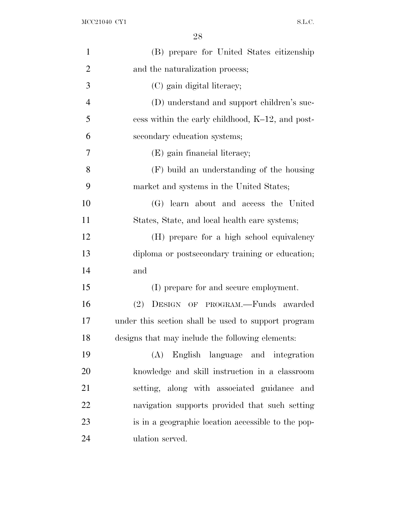| $\mathbf{1}$   | (B) prepare for United States citizenship           |
|----------------|-----------------------------------------------------|
| $\overline{2}$ | and the naturalization process;                     |
| 3              | (C) gain digital literacy;                          |
| $\overline{4}$ | (D) understand and support children's suc-          |
| 5              | cess within the early childhood, K-12, and post-    |
| 6              | secondary education systems;                        |
| 7              | (E) gain financial literacy;                        |
| 8              | (F) build an understanding of the housing           |
| 9              | market and systems in the United States;            |
| 10             | (G) learn about and access the United               |
| 11             | States, State, and local health care systems;       |
| 12             | (H) prepare for a high school equivalency           |
| 13             | diploma or postsecondary training or education;     |
| 14             | and                                                 |
| 15             | (I) prepare for and secure employment.              |
| 16             | DESIGN OF PROGRAM.-Funds awarded<br>(2)             |
| 17             | under this section shall be used to support program |
| 18             | designs that may include the following elements:    |
| 19             | (A) English language and integration                |
| 20             | knowledge and skill instruction in a classroom      |
| 21             | setting, along with associated guidance and         |
| 22             | navigation supports provided that such setting      |
| 23             | is in a geographic location accessible to the pop-  |
| 24             | ulation served.                                     |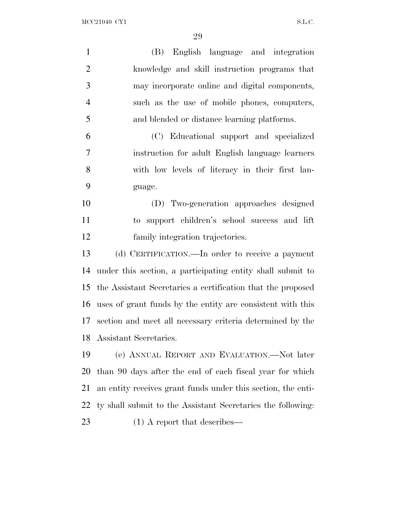MCC21040 CY1 S.L.C.

| $\mathbf{1}$   | English language and integration<br>(B)                      |
|----------------|--------------------------------------------------------------|
| $\overline{2}$ | knowledge and skill instruction programs that                |
| 3              | may incorporate online and digital components,               |
| $\overline{4}$ | such as the use of mobile phones, computers,                 |
| 5              | and blended or distance learning platforms.                  |
| 6              | (C) Educational support and specialized                      |
| 7              | instruction for adult English language learners              |
| 8              | with low levels of literacy in their first lan-              |
| 9              | guage.                                                       |
| 10             | (D) Two-generation approaches designed                       |
| 11             | to support children's school success and lift                |
| 12             | family integration trajectories.                             |
| 13             | (d) CERTIFICATION.—In order to receive a payment             |
| 14             | under this section, a participating entity shall submit to   |
| 15             | the Assistant Secretaries a certification that the proposed  |
| 16             | uses of grant funds by the entity are consistent with this   |
|                | 17 section and meet all necessary criteria determined by the |
| 18             | Assistant Secretaries.                                       |
| 19             | (e) ANNUAL REPORT AND EVALUATION.—Not later                  |
| 20             | than 90 days after the end of each fiscal year for which     |
| 21             | an entity receives grant funds under this section, the enti- |
| 22             | ty shall submit to the Assistant Secretaries the following:  |
| 23             | $(1)$ A report that describes—                               |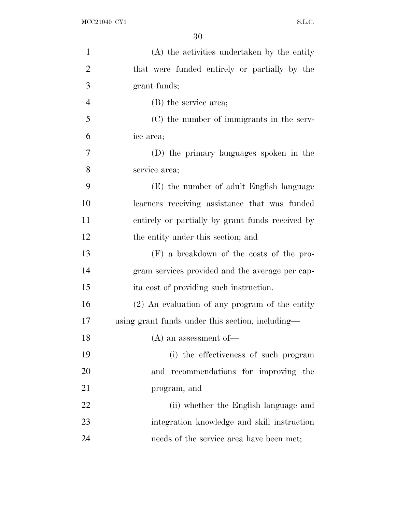| $\mathbf{1}$   | (A) the activities undertaken by the entity      |
|----------------|--------------------------------------------------|
| $\overline{2}$ | that were funded entirely or partially by the    |
| 3              | grant funds;                                     |
| $\overline{4}$ | (B) the service area;                            |
| 5              | (C) the number of immigrants in the serv-        |
| 6              | ice area;                                        |
| 7              | (D) the primary languages spoken in the          |
| 8              | service area;                                    |
| 9              | (E) the number of adult English language         |
| 10             | learners receiving assistance that was funded    |
| 11             | entirely or partially by grant funds received by |
| 12             | the entity under this section; and               |
| 13             | $(F)$ a breakdown of the costs of the pro-       |
| 14             | gram services provided and the average per cap-  |
| 15             | it a cost of providing such instruction.         |
| 16             | $(2)$ An evaluation of any program of the entity |
| 17             | using grant funds under this section, including— |
| 18             | $(A)$ an assessment of-                          |
| 19             | (i) the effectiveness of such program            |
| 20             | recommendations for improving the<br>and         |
| 21             | program; and                                     |
| 22             | (ii) whether the English language and            |
| 23             | integration knowledge and skill instruction      |
| 24             | needs of the service area have been met;         |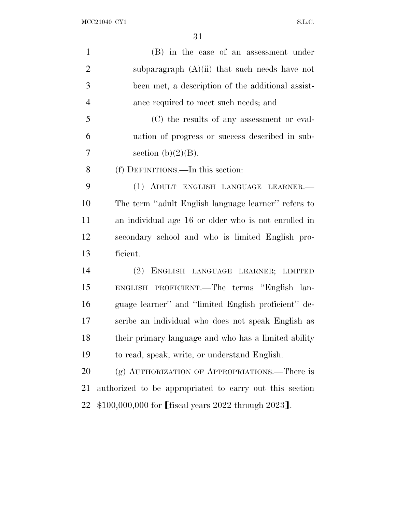| $\mathbf{1}$   | (B) in the case of an assessment under                  |
|----------------|---------------------------------------------------------|
| $\overline{2}$ | subparagraph $(A)(ii)$ that such needs have not         |
| 3              | been met, a description of the additional assist-       |
| $\overline{4}$ | ance required to meet such needs; and                   |
| 5              | (C) the results of any assessment or eval-              |
| 6              | uation of progress or success described in sub-         |
| 7              | section $(b)(2)(B)$ .                                   |
| 8              | (f) DEFINITIONS.—In this section:                       |
| 9              | (1) ADULT ENGLISH LANGUAGE LEARNER.-                    |
| 10             | The term "adult English language learner" refers to     |
| 11             | an individual age 16 or older who is not enrolled in    |
| 12             | secondary school and who is limited English pro-        |
| 13             | ficient.                                                |
| 14             | (2)<br>ENGLISH LANGUAGE LEARNER; LIMITED                |
| 15             | ENGLISH PROFICIENT.—The terms "English lan-             |
| 16             | guage learner" and "limited English proficient" de-     |
| 17             | scribe an individual who does not speak English as      |
| 18             | their primary language and who has a limited ability    |
| 19             | to read, speak, write, or understand English.           |
| 20             | (g) AUTHORIZATION OF APPROPRIATIONS.—There is           |
| 21             | authorized to be appropriated to carry out this section |
| 22             | \$100,000,000 for [fiscal years 2022 through 2023].     |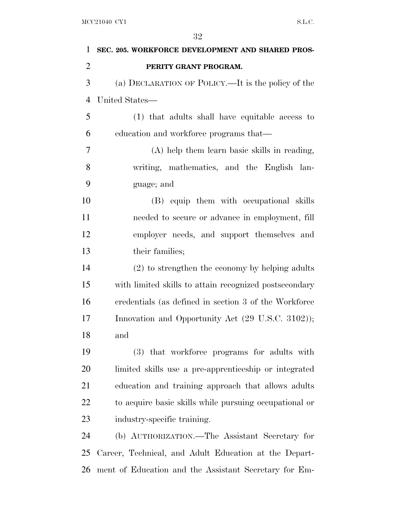| $\mathbf{1}$   | SEC. 205. WORKFORCE DEVELOPMENT AND SHARED PROS-       |
|----------------|--------------------------------------------------------|
| $\overline{2}$ | PERITY GRANT PROGRAM.                                  |
| 3              | (a) DECLARATION OF POLICY.—It is the policy of the     |
| $\overline{4}$ | United States-                                         |
| 5              | (1) that adults shall have equitable access to         |
| 6              | education and workforce programs that—                 |
| 7              | (A) help them learn basic skills in reading,           |
| 8              | writing, mathematics, and the English lan-             |
| 9              | guage; and                                             |
| 10             | (B) equip them with occupational skills                |
| 11             | needed to secure or advance in employment, fill        |
| 12             | employer needs, and support themselves and             |
| 13             | their families;                                        |
| 14             | $(2)$ to strengthen the economy by helping adults      |
| 15             | with limited skills to attain recognized postsecondary |
| 16             | credentials (as defined in section 3 of the Workforce  |
| 17             | Innovation and Opportunity Act (29 U.S.C. 3102));      |
| 18             | and                                                    |
| 19             | (3) that workforce programs for adults with            |
| 20             | limited skills use a pre-apprenticeship or integrated  |
| 21             | education and training approach that allows adults     |
| 22             | to acquire basic skills while pursuing occupational or |
| 23             | industry-specific training.                            |
| 24             | (b) AUTHORIZATION.—The Assistant Secretary for         |
| 25             | Career, Technical, and Adult Education at the Depart-  |
| 26             | ment of Education and the Assistant Secretary for Em-  |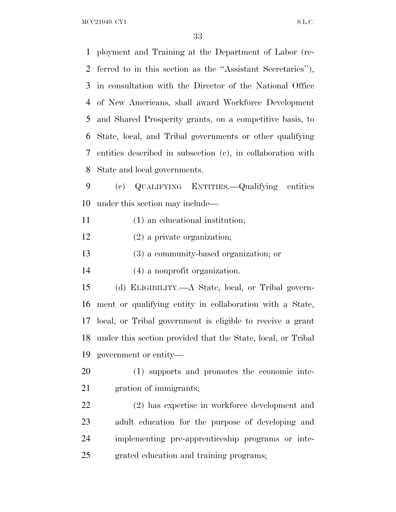MCC21040 CY1 S.L.C.

 ployment and Training at the Department of Labor (re- ferred to in this section as the ''Assistant Secretaries''), in consultation with the Director of the National Office of New Americans, shall award Workforce Development and Shared Prosperity grants, on a competitive basis, to State, local, and Tribal governments or other qualifying entities described in subsection (c), in collaboration with State and local governments. (c) QUALIFYING ENTITIES.—Qualifying entities under this section may include— (1) an educational institution; (2) a private organization; (3) a community-based organization; or (4) a nonprofit organization. (d) ELIGIBILITY.—A State, local, or Tribal govern- ment or qualifying entity in collaboration with a State, local, or Tribal government is eligible to receive a grant under this section provided that the State, local, or Tribal government or entity— (1) supports and promotes the economic inte- gration of immigrants; (2) has expertise in workforce development and adult education for the purpose of developing and implementing pre-apprenticeship programs or inte-grated education and training programs;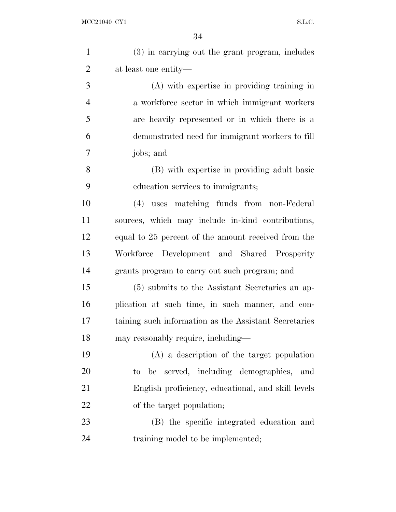| $\mathbf{1}$   | (3) in carrying out the grant program, includes       |
|----------------|-------------------------------------------------------|
| $\overline{2}$ | at least one entity—                                  |
| 3              | (A) with expertise in providing training in           |
| $\overline{4}$ | a workforce sector in which immigrant workers         |
| 5              | are heavily represented or in which there is a        |
| 6              | demonstrated need for immigrant workers to fill       |
| 7              | jobs; and                                             |
| 8              | (B) with expertise in providing adult basic           |
| 9              | education services to immigrants;                     |
| 10             | (4) uses matching funds from non-Federal              |
| 11             | sources, which may include in-kind contributions,     |
| 12             | equal to 25 percent of the amount received from the   |
| 13             | Workforce Development and Shared Prosperity           |
| 14             | grants program to carry out such program; and         |
| 15             | (5) submits to the Assistant Secretaries an ap-       |
| 16             | plication at such time, in such manner, and con-      |
| 17             | taining such information as the Assistant Secretaries |
| 18             | may reasonably require, including—                    |
| 19             | $(A)$ a description of the target population          |
| 20             | to be served, including demographics, and             |
| 21             | English proficiency, educational, and skill levels    |
| 22             | of the target population;                             |
| 23             | (B) the specific integrated education and             |
| 24             | training model to be implemented;                     |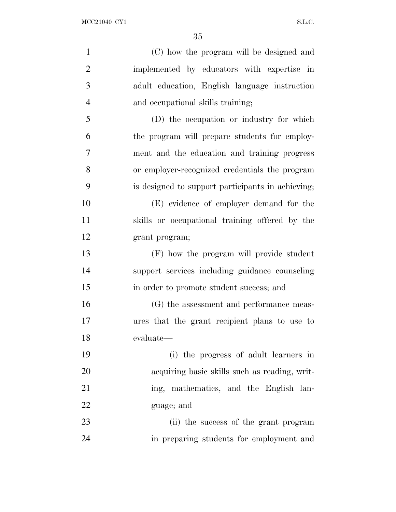| $\mathbf{1}$   | (C) how the program will be designed and          |
|----------------|---------------------------------------------------|
| $\mathbf{2}$   | implemented by educators with expertise in        |
| 3              | adult education, English language instruction     |
| $\overline{4}$ | and occupational skills training;                 |
| 5              | (D) the occupation or industry for which          |
| 6              | the program will prepare students for employ-     |
| $\overline{7}$ | ment and the education and training progress      |
| 8              | or employer-recognized credentials the program    |
| 9              | is designed to support participants in achieving; |
| 10             | (E) evidence of employer demand for the           |
| 11             | skills or occupational training offered by the    |
| 12             | grant program;                                    |
| 13             | (F) how the program will provide student          |
| 14             | support services including guidance counseling    |
| 15             | in order to promote student success; and          |
| 16             | (G) the assessment and performance meas-          |
| 17             | ures that the grant recipient plans to use to     |
| 18             | evaluate—                                         |
| 19             | (i) the progress of adult learners in             |
| 20             | acquiring basic skills such as reading, writ-     |
| 21             | ing, mathematics, and the English lan-            |
| 22             | guage; and                                        |
| 23             | (ii) the success of the grant program             |
| 24             | in preparing students for employment and          |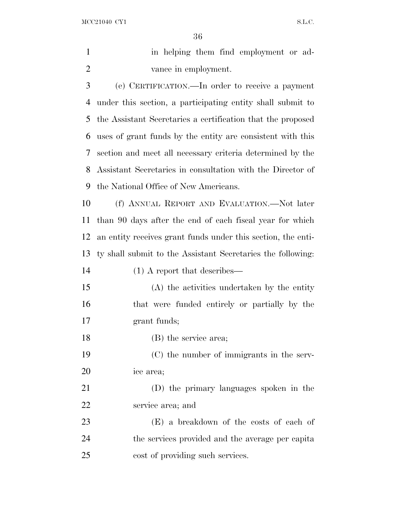$\rm{MCC21040\;\;CY1} \qquad \qquad$ 

| $\mathbf{1}$ | in helping them find employment or ad-                       |
|--------------|--------------------------------------------------------------|
| 2            | vance in employment.                                         |
| 3            | (e) CERTIFICATION.—In order to receive a payment             |
| 4            | under this section, a participating entity shall submit to   |
| 5            | the Assistant Secretaries a certification that the proposed  |
| 6            | uses of grant funds by the entity are consistent with this   |
| 7            | section and meet all necessary criteria determined by the    |
| 8            | Assistant Secretaries in consultation with the Director of   |
| 9            | the National Office of New Americans.                        |
| 10           | (f) ANNUAL REPORT AND EVALUATION.—Not later                  |
| 11           | than 90 days after the end of each fiscal year for which     |
| 12           | an entity receives grant funds under this section, the enti- |
| 13           | ty shall submit to the Assistant Secretaries the following:  |
| 14           | $(1)$ A report that describes—                               |
| 15           | (A) the activities undertaken by the entity                  |
| 16           | that were funded entirely or partially by the                |
| 17           | grant funds;                                                 |
| 18           | (B) the service area;                                        |
| 19           | (C) the number of immigrants in the serv-                    |
| 20           | ice area;                                                    |
| 21           | (D) the primary languages spoken in the                      |
| 22           | service area; and                                            |
| 23           | (E) a breakdown of the costs of each of                      |
| 24           | the services provided and the average per capita             |
| 25           | cost of providing such services.                             |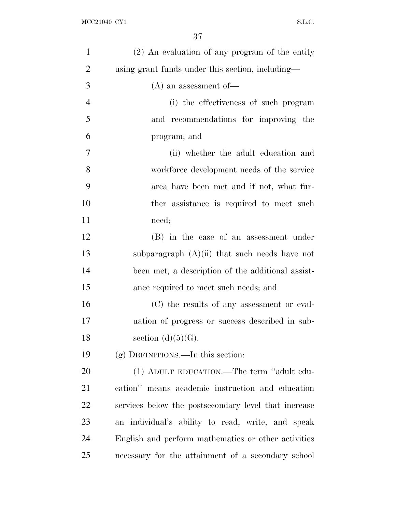| $\mathbf{1}$   | $(2)$ An evaluation of any program of the entity     |
|----------------|------------------------------------------------------|
| $\overline{2}$ | using grant funds under this section, including—     |
| 3              | $(A)$ an assessment of-                              |
| $\overline{4}$ | (i) the effectiveness of such program                |
| 5              | and recommendations for improving the                |
| 6              | program; and                                         |
| 7              | (ii) whether the adult education and                 |
| 8              | workforce development needs of the service           |
| 9              | area have been met and if not, what fur-             |
| 10             | ther assistance is required to meet such             |
| 11             | need;                                                |
| 12             | (B) in the case of an assessment under               |
| 13             | subparagraph $(A)(ii)$ that such needs have not      |
| 14             | been met, a description of the additional assist-    |
| 15             | ance required to meet such needs; and                |
| 16             | (C) the results of any assessment or eval-           |
| 17             | uation of progress or success described in sub-      |
| 18             | section $(d)(5)(G)$ .                                |
| 19             | $(g)$ DEFINITIONS.—In this section:                  |
| 20             | (1) ADULT EDUCATION.—The term "adult edu-            |
| 21             | cation" means academic instruction and education     |
| 22             | services below the postsecondary level that increase |
| 23             | an individual's ability to read, write, and speak    |
| 24             | English and perform mathematics or other activities  |
| 25             | necessary for the attainment of a secondary school   |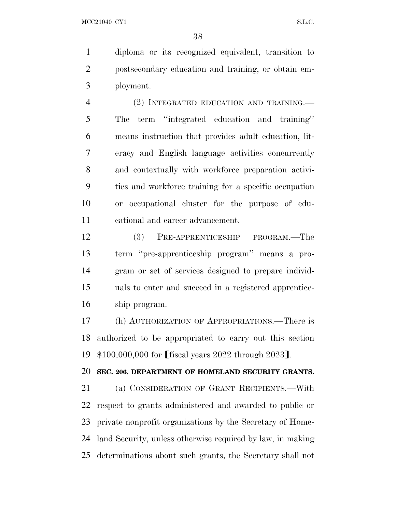diploma or its recognized equivalent, transition to postsecondary education and training, or obtain em-ployment.

 (2) INTEGRATED EDUCATION AND TRAINING.— The term ''integrated education and training'' means instruction that provides adult education, lit- eracy and English language activities concurrently and contextually with workforce preparation activi- ties and workforce training for a specific occupation or occupational cluster for the purpose of edu-cational and career advancement.

 (3) PRE-APPRENTICESHIP PROGRAM.—The term ''pre-apprenticeship program'' means a pro- gram or set of services designed to prepare individ- uals to enter and succeed in a registered apprentice-ship program.

 (h) AUTHORIZATION OF APPROPRIATIONS.—There is authorized to be appropriated to carry out this section 19  $$100,000,000$  for [fiscal years 2022 through 2023].

**SEC. 206. DEPARTMENT OF HOMELAND SECURITY GRANTS.**

 (a) CONSIDERATION OF GRANT RECIPIENTS.—With respect to grants administered and awarded to public or private nonprofit organizations by the Secretary of Home- land Security, unless otherwise required by law, in making determinations about such grants, the Secretary shall not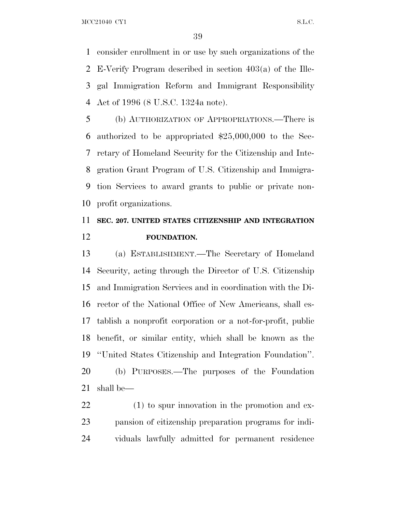MCC21040 CY1 S.L.C.

 consider enrollment in or use by such organizations of the E-Verify Program described in section 403(a) of the Ille- gal Immigration Reform and Immigrant Responsibility Act of 1996 (8 U.S.C. 1324a note).

 (b) AUTHORIZATION OF APPROPRIATIONS.—There is authorized to be appropriated \$25,000,000 to the Sec- retary of Homeland Security for the Citizenship and Inte- gration Grant Program of U.S. Citizenship and Immigra- tion Services to award grants to public or private non-profit organizations.

# **SEC. 207. UNITED STATES CITIZENSHIP AND INTEGRATION FOUNDATION.**

 (a) ESTABLISHMENT.—The Secretary of Homeland Security, acting through the Director of U.S. Citizenship and Immigration Services and in coordination with the Di- rector of the National Office of New Americans, shall es- tablish a nonprofit corporation or a not-for-profit, public benefit, or similar entity, which shall be known as the ''United States Citizenship and Integration Foundation''. (b) PURPOSES.—The purposes of the Foundation shall be—

 (1) to spur innovation in the promotion and ex- pansion of citizenship preparation programs for indi-viduals lawfully admitted for permanent residence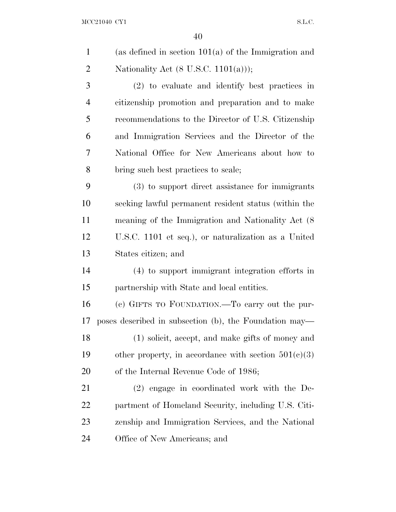| $\mathbf{1}$   | (as defined in section $101(a)$ of the Immigration and |
|----------------|--------------------------------------------------------|
| $\overline{2}$ | Nationality Act $(8 \text{ U.S.C. } 1101(a))$ ;        |
| 3              | (2) to evaluate and identify best practices in         |
| $\overline{4}$ | citizenship promotion and preparation and to make      |
| 5              | recommendations to the Director of U.S. Citizenship    |
| 6              | and Immigration Services and the Director of the       |
| 7              | National Office for New Americans about how to         |
| 8              | bring such best practices to scale;                    |
| 9              | (3) to support direct assistance for immigrants        |
| 10             | seeking lawful permanent resident status (within the   |
| 11             | meaning of the Immigration and Nationality Act (8)     |
| 12             | U.S.C. 1101 et seq.), or naturalization as a United    |
| 13             | States citizen; and                                    |
| 14             | (4) to support immigrant integration efforts in        |
| 15             | partnership with State and local entities.             |
| 16             | (c) GIFTS TO FOUNDATION.—To carry out the pur-         |
| 17             | poses described in subsection (b), the Foundation may— |
| 18             | (1) solicit, accept, and make gifts of money and       |
| 19             | other property, in accordance with section $501(c)(3)$ |
| 20             | of the Internal Revenue Code of 1986;                  |
| 21             | $(2)$ engage in coordinated work with the De-          |
| 22             | partment of Homeland Security, including U.S. Citi-    |
| 23             | zenship and Immigration Services, and the National     |
| 24             | Office of New Americans; and                           |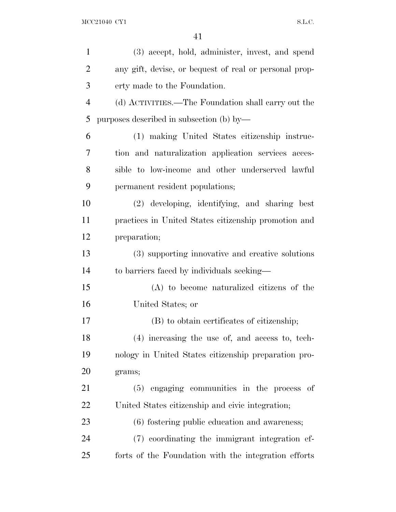| $\mathbf{1}$   | (3) accept, hold, administer, invest, and spend        |
|----------------|--------------------------------------------------------|
| $\overline{2}$ | any gift, devise, or bequest of real or personal prop- |
| 3              | erty made to the Foundation.                           |
| $\overline{4}$ | (d) ACTIVITIES.—The Foundation shall carry out the     |
| 5              | purposes described in subsection (b) by—               |
| 6              | (1) making United States citizenship instruc-          |
| 7              | tion and naturalization application services acces-    |
| 8              | sible to low-income and other underserved lawful       |
| 9              | permanent resident populations;                        |
| 10             | (2) developing, identifying, and sharing best          |
| 11             | practices in United States citizenship promotion and   |
| 12             | preparation;                                           |
| 13             | (3) supporting innovative and creative solutions       |
| 14             | to barriers faced by individuals seeking—              |
| 15             | (A) to become naturalized citizens of the              |
| 16             | United States; or                                      |
| 17             | (B) to obtain certificates of citizenship;             |
| 18             | (4) increasing the use of, and access to, tech-        |
| 19             | nology in United States citizenship preparation pro-   |
| 20             | grams;                                                 |
| 21             | (5) engaging communities in the process of             |
| 22             | United States citizenship and civic integration;       |
| 23             | (6) fostering public education and awareness;          |
| 24             | (7) coordinating the immigrant integration ef-         |
| 25             | forts of the Foundation with the integration efforts   |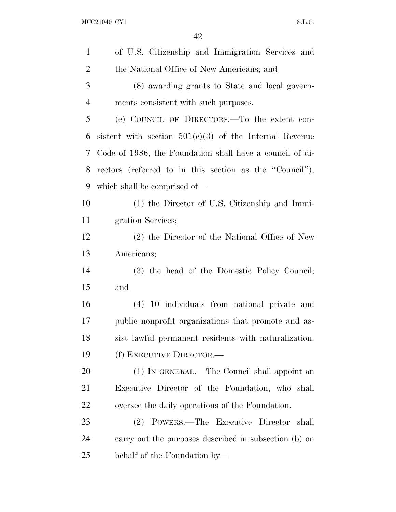| $\mathbf{1}$   | of U.S. Citizenship and Immigration Services and         |
|----------------|----------------------------------------------------------|
| $\overline{2}$ | the National Office of New Americans; and                |
| 3              | (8) awarding grants to State and local govern-           |
| $\overline{4}$ | ments consistent with such purposes.                     |
| 5              | (e) COUNCIL OF DIRECTORS. To the extent con-             |
| 6              | sistent with section $501(c)(3)$ of the Internal Revenue |
| 7              | Code of 1986, the Foundation shall have a council of di- |
| 8              | rectors (referred to in this section as the "Council"),  |
| 9              | which shall be comprised of—                             |
| 10             | (1) the Director of U.S. Citizenship and Immi-           |
| 11             | gration Services;                                        |
| 12             | (2) the Director of the National Office of New           |
| 13             | Americans;                                               |
| 14             | (3) the head of the Domestic Policy Council;             |
| 15             | and                                                      |
| 16             | (4) 10 individuals from national private and             |
| 17             | public nonprofit organizations that promote and as-      |
| 18             | sist lawful permanent residents with naturalization.     |
| 19             | (f) EXECUTIVE DIRECTOR.—                                 |
| 20             | (1) IN GENERAL.—The Council shall appoint an             |
| 21             | Executive Director of the Foundation, who shall          |
| 22             | oversee the daily operations of the Foundation.          |
| 23             | (2) POWERS.—The Executive Director shall                 |
| 24             | carry out the purposes described in subsection (b) on    |
| 25             | behalf of the Foundation by—                             |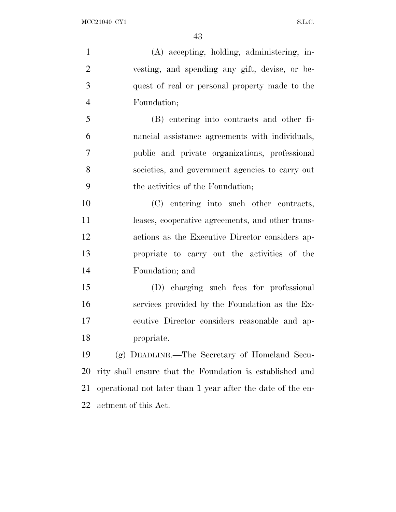(A) accepting, holding, administering, in- vesting, and spending any gift, devise, or be- quest of real or personal property made to the Foundation;

 (B) entering into contracts and other fi- nancial assistance agreements with individuals, public and private organizations, professional societies, and government agencies to carry out the activities of the Foundation;

 (C) entering into such other contracts, leases, cooperative agreements, and other trans- actions as the Executive Director considers ap- propriate to carry out the activities of the Foundation; and

 (D) charging such fees for professional services provided by the Foundation as the Ex- ecutive Director considers reasonable and ap-propriate.

 (g) DEADLINE.—The Secretary of Homeland Secu- rity shall ensure that the Foundation is established and operational not later than 1 year after the date of the en-actment of this Act.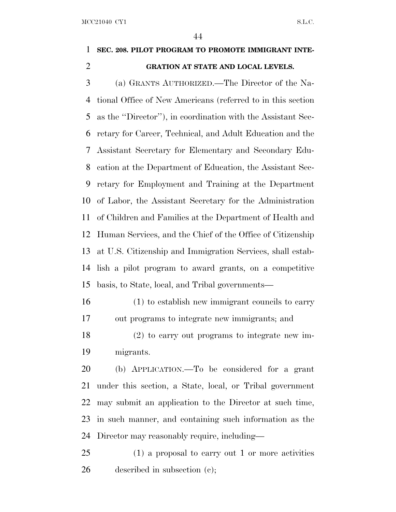### **SEC. 208. PILOT PROGRAM TO PROMOTE IMMIGRANT INTE-GRATION AT STATE AND LOCAL LEVELS.**

 (a) GRANTS AUTHORIZED.—The Director of the Na- tional Office of New Americans (referred to in this section as the ''Director''), in coordination with the Assistant Sec- retary for Career, Technical, and Adult Education and the Assistant Secretary for Elementary and Secondary Edu- cation at the Department of Education, the Assistant Sec- retary for Employment and Training at the Department of Labor, the Assistant Secretary for the Administration of Children and Families at the Department of Health and Human Services, and the Chief of the Office of Citizenship at U.S. Citizenship and Immigration Services, shall estab- lish a pilot program to award grants, on a competitive basis, to State, local, and Tribal governments—

 (1) to establish new immigrant councils to carry out programs to integrate new immigrants; and

 (2) to carry out programs to integrate new im-migrants.

 (b) APPLICATION.—To be considered for a grant under this section, a State, local, or Tribal government may submit an application to the Director at such time, in such manner, and containing such information as the Director may reasonably require, including—

 (1) a proposal to carry out 1 or more activities described in subsection (c);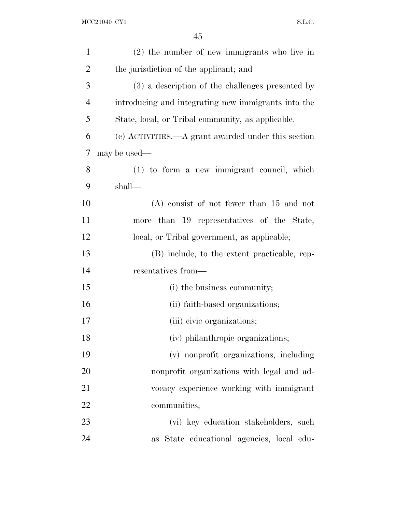| $\mathbf{1}$   | $(2)$ the number of new immigrants who live in      |
|----------------|-----------------------------------------------------|
| $\overline{2}$ | the jurisdiction of the applicant; and              |
| 3              | (3) a description of the challenges presented by    |
| 4              | introducing and integrating new immigrants into the |
| 5              | State, local, or Tribal community, as applicable.   |
| 6              | (c) ACTIVITIES.—A grant awarded under this section  |
| 7              | may be used—                                        |
| 8              | $(1)$ to form a new immigrant council, which        |
| 9              | shall-                                              |
| 10             | $(A)$ consist of not fewer than 15 and not          |
| 11             | more than 19 representatives of the State,          |
| 12             | local, or Tribal government, as applicable;         |
| 13             | (B) include, to the extent practicable, rep-        |
| 14             | resentatives from—                                  |
| 15             | (i) the business community;                         |
| 16             | (ii) faith-based organizations;                     |
| 17             | (iii) civic organizations;                          |
| 18             | (iv) philanthropic organizations;                   |
| 19             | (v) nonprofit organizations, including              |
| 20             | nonprofit organizations with legal and ad-          |
| 21             | vocacy experience working with immigrant            |
| 22             | communities;                                        |
| 23             | (vi) key education stakeholders, such               |
| 24             | as State educational agencies, local edu-           |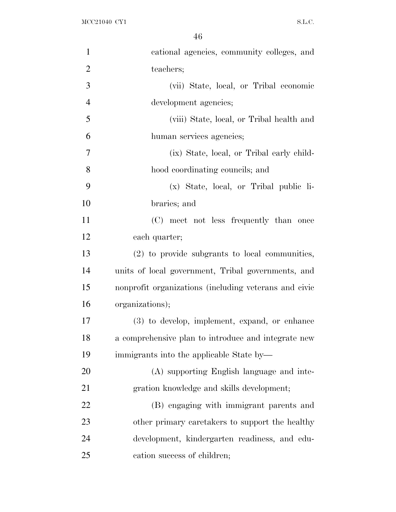| $\mathbf{1}$   | cational agencies, community colleges, and            |
|----------------|-------------------------------------------------------|
| $\overline{2}$ | teachers;                                             |
| 3              | (vii) State, local, or Tribal economic                |
| $\overline{4}$ | development agencies;                                 |
| 5              | (viii) State, local, or Tribal health and             |
| 6              | human services agencies;                              |
| 7              | (ix) State, local, or Tribal early child-             |
| 8              | hood coordinating councils; and                       |
| 9              | (x) State, local, or Tribal public li-                |
| 10             | braries; and                                          |
| 11             | (C) meet not less frequently than once                |
| 12             | each quarter;                                         |
| 13             | (2) to provide subgrants to local communities,        |
| 14             | units of local government, Tribal governments, and    |
| 15             | nonprofit organizations (including veterans and civic |
| 16             | organizations);                                       |
| 17             | (3) to develop, implement, expand, or enhance         |
| 18             | a comprehensive plan to introduce and integrate new   |
| 19             | immigrants into the applicable State by—              |
| 20             | (A) supporting English language and inte-             |
| 21             | gration knowledge and skills development;             |
| <u>22</u>      | (B) engaging with immigrant parents and               |
| 23             | other primary caretakers to support the healthy       |
| 24             | development, kindergarten readiness, and edu-         |
| 25             | cation success of children;                           |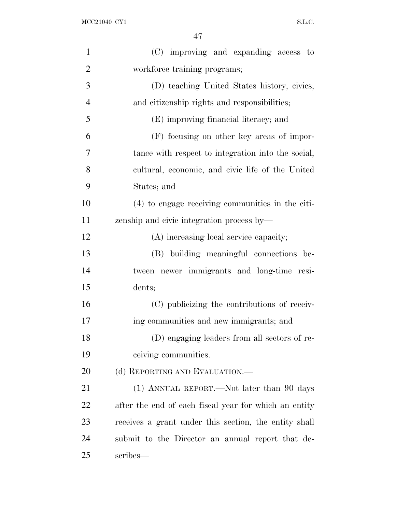| $\mathbf{1}$   | (C) improving and expanding access to                 |
|----------------|-------------------------------------------------------|
| $\overline{2}$ | workforce training programs;                          |
| 3              | (D) teaching United States history, civics,           |
| $\overline{4}$ | and citizenship rights and responsibilities;          |
| 5              | (E) improving financial literacy; and                 |
| 6              | (F) focusing on other key areas of impor-             |
| 7              | tance with respect to integration into the social,    |
| 8              | cultural, economic, and civic life of the United      |
| 9              | States; and                                           |
| 10             | (4) to engage receiving communities in the citi-      |
| 11             | zenship and civic integration process by-             |
| 12             | (A) increasing local service capacity;                |
| 13             | (B) building meaningful connections be-               |
| 14             | tween newer immigrants and long-time resi-            |
| 15             | dents;                                                |
| 16             | (C) publicizing the contributions of receiv-          |
| 17             | ing communities and new immigrants; and               |
| 18             | (D) engaging leaders from all sectors of re-          |
| 19             | ceiving communities.                                  |
| 20             | (d) REPORTING AND EVALUATION.—                        |
| 21             | (1) ANNUAL REPORT.—Not later than 90 days             |
| 22             | after the end of each fiscal year for which an entity |
| 23             | receives a grant under this section, the entity shall |
| 24             | submit to the Director an annual report that de-      |
| 25             | scribes—                                              |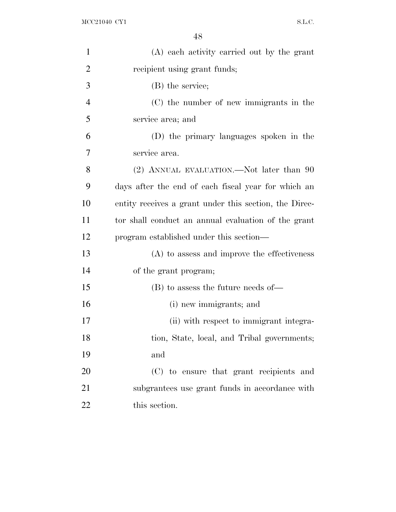| $\mathbf{1}$   | (A) each activity carried out by the grant             |
|----------------|--------------------------------------------------------|
| 2              | recipient using grant funds;                           |
| 3              | (B) the service;                                       |
| $\overline{4}$ | (C) the number of new immigrants in the                |
| 5              | service area; and                                      |
| 6              | (D) the primary languages spoken in the                |
| 7              | service area.                                          |
| 8              | (2) ANNUAL EVALUATION.—Not later than 90               |
| 9              | days after the end of each fiscal year for which an    |
| 10             | entity receives a grant under this section, the Direc- |
| 11             | tor shall conduct an annual evaluation of the grant    |
| 12             | program established under this section—                |
| 13             | $(A)$ to assess and improve the effectiveness          |
| 14             | of the grant program;                                  |
| 15             | $(B)$ to assess the future needs of —                  |
| 16             | (i) new immigrants; and                                |
| 17             | (ii) with respect to immigrant integra-                |
| 18             | tion, State, local, and Tribal governments;            |
| 19             | and                                                    |
| 20             | (C) to ensure that grant recipients and                |
| 21             | subgrantees use grant funds in accordance with         |
| 22             | this section.                                          |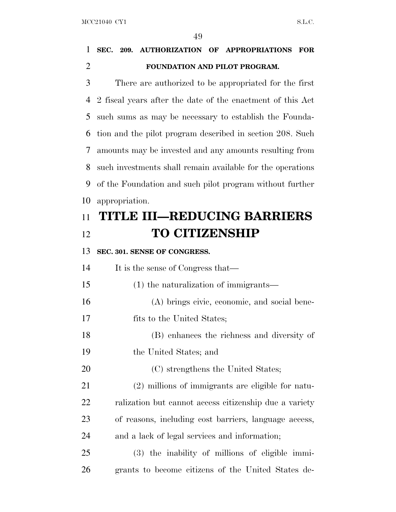# **SEC. 209. AUTHORIZATION OF APPROPRIATIONS FOR FOUNDATION AND PILOT PROGRAM.**

 There are authorized to be appropriated for the first 2 fiscal years after the date of the enactment of this Act such sums as may be necessary to establish the Founda- tion and the pilot program described in section 208. Such amounts may be invested and any amounts resulting from such investments shall remain available for the operations of the Foundation and such pilot program without further appropriation.

# **TITLE III—REDUCING BARRIERS TO CITIZENSHIP**

**SEC. 301. SENSE OF CONGRESS.**

It is the sense of Congress that—

- (1) the naturalization of immigrants—
- (A) brings civic, economic, and social bene-

fits to the United States;

(B) enhances the richness and diversity of

the United States; and

20 (C) strengthens the United States;

 (2) millions of immigrants are eligible for natu- ralization but cannot access citizenship due a variety of reasons, including cost barriers, language access, and a lack of legal services and information;

 (3) the inability of millions of eligible immi-grants to become citizens of the United States de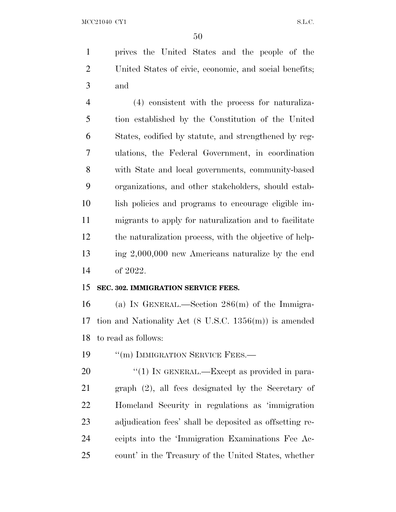MCC21040 CY1 S.L.C.

 prives the United States and the people of the United States of civic, economic, and social benefits; and

 (4) consistent with the process for naturaliza- tion established by the Constitution of the United States, codified by statute, and strengthened by reg- ulations, the Federal Government, in coordination with State and local governments, community-based organizations, and other stakeholders, should estab- lish policies and programs to encourage eligible im- migrants to apply for naturalization and to facilitate the naturalization process, with the objective of help- ing 2,000,000 new Americans naturalize by the end of 2022.

#### **SEC. 302. IMMIGRATION SERVICE FEES.**

 (a) I<sup>N</sup> GENERAL.—Section 286(m) of the Immigra- tion and Nationality Act (8 U.S.C. 1356(m)) is amended to read as follows:

19 "'(m) IMMIGRATION SERVICE FEES.

20 "(1) IN GENERAL.—Except as provided in para- graph (2), all fees designated by the Secretary of Homeland Security in regulations as 'immigration adjudication fees' shall be deposited as offsetting re- ceipts into the 'Immigration Examinations Fee Ac-count' in the Treasury of the United States, whether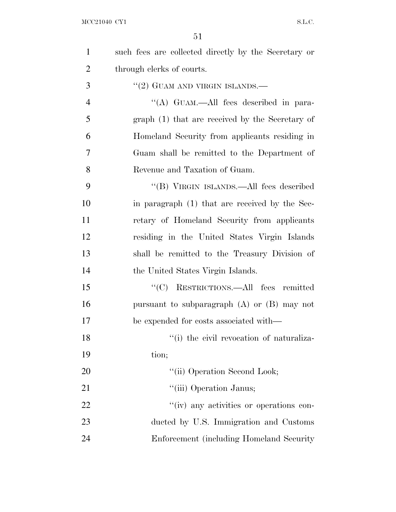| $\mathbf{1}$   | such fees are collected directly by the Secretary or |
|----------------|------------------------------------------------------|
| $\overline{2}$ | through clerks of courts.                            |
| 3              | $``(2)$ GUAM AND VIRGIN ISLANDS.—                    |
| $\overline{4}$ | "(A) GUAM.—All fees described in para-               |
| 5              | graph (1) that are received by the Secretary of      |
| 6              | Homeland Security from applicants residing in        |
| 7              | Guam shall be remitted to the Department of          |
| 8              | Revenue and Taxation of Guam.                        |
| 9              | "(B) VIRGIN ISLANDS.—All fees described              |
| 10             | in paragraph (1) that are received by the Sec-       |
| 11             | retary of Homeland Security from applicants          |
| 12             | residing in the United States Virgin Islands         |
| 13             | shall be remitted to the Treasury Division of        |
| 14             | the United States Virgin Islands.                    |
| 15             | "(C) RESTRICTIONS.—All fees remitted                 |
| 16             | pursuant to subparagraph $(A)$ or $(B)$ may not      |
| 17             | be expended for costs associated with—               |
| 18             | "(i) the civil revocation of naturaliza-             |
| 19             | tion;                                                |
| 20             | "(ii) Operation Second Look;                         |
| 21             | "(iii) Operation Janus;                              |
| 22             | "(iv) any activities or operations con-              |
| 23             | ducted by U.S. Immigration and Customs               |
| 24             | Enforcement (including Homeland Security)            |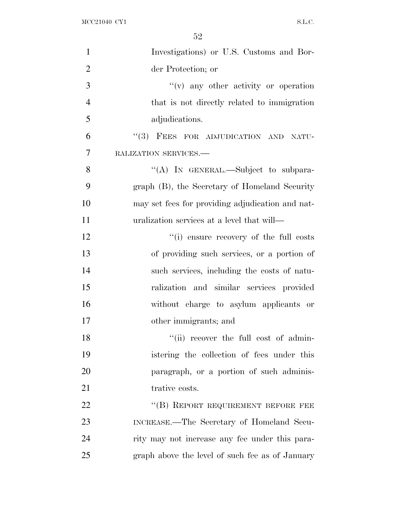| $\mathbf{1}$   | Investigations) or U.S. Customs and Bor-         |
|----------------|--------------------------------------------------|
| $\overline{2}$ | der Protection; or                               |
| 3              | $f'(v)$ any other activity or operation          |
| $\overline{4}$ | that is not directly related to immigration      |
| 5              | adjudications.                                   |
| 6              | "(3) FEES FOR ADJUDICATION AND NATU-             |
| 7              | RALIZATION SERVICES.-                            |
| $8\,$          | "(A) IN GENERAL.—Subject to subpara-             |
| 9              | graph (B), the Secretary of Homeland Security    |
| 10             | may set fees for providing adjudication and nat- |
| 11             | uralization services at a level that will—       |
| 12             | "(i) ensure recovery of the full costs           |
| 13             | of providing such services, or a portion of      |
| 14             | such services, including the costs of natu-      |
| 15             | ralization and similar services provided         |
| 16             | without charge to asylum applicants or           |
| 17             | other immigrants; and                            |
| 18             | "(ii) recover the full cost of admin-            |
| 19             | istering the collection of fees under this       |
| 20             | paragraph, or a portion of such adminis-         |
| 21             | trative costs.                                   |
| 22             | "(B) REPORT REQUIREMENT BEFORE FEE               |
| 23             | INCREASE.—The Secretary of Homeland Secu-        |
| 24             | rity may not increase any fee under this para-   |
| 25             | graph above the level of such fee as of January  |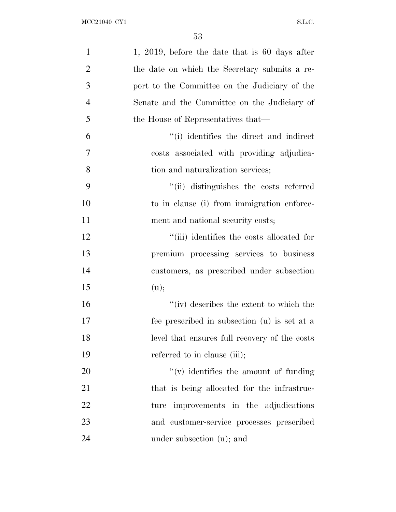| $\mathbf{1}$   | 1, 2019, before the date that is $60$ days after |
|----------------|--------------------------------------------------|
| $\overline{2}$ | the date on which the Secretary submits a re-    |
| 3              | port to the Committee on the Judiciary of the    |
| $\overline{4}$ | Senate and the Committee on the Judiciary of     |
| 5              | the House of Representatives that—               |
| 6              | "(i) identifies the direct and indirect          |
| 7              | costs associated with providing adjudica-        |
| 8              | tion and naturalization services;                |
| 9              | "(ii) distinguishes the costs referred           |
| 10             | to in clause (i) from immigration enforce-       |
| 11             | ment and national security costs;                |
| 12             | "(iii) identifies the costs allocated for        |
| 13             | premium processing services to business          |
| 14             | customers, as prescribed under subsection        |
| 15             | (u);                                             |
| 16             | "(iv) describes the extent to which the          |
| 17             | fee prescribed in subsection (u) is set at a     |
| 18             | level that ensures full recovery of the costs    |
| 19             | referred to in clause (iii);                     |
| 20             | $f'(v)$ identifies the amount of funding         |
| 21             | that is being allocated for the infrastruc-      |
| 22             | ture improvements in the adjudications           |
| 23             | and customer-service processes prescribed        |
| 24             | under subsection (u); and                        |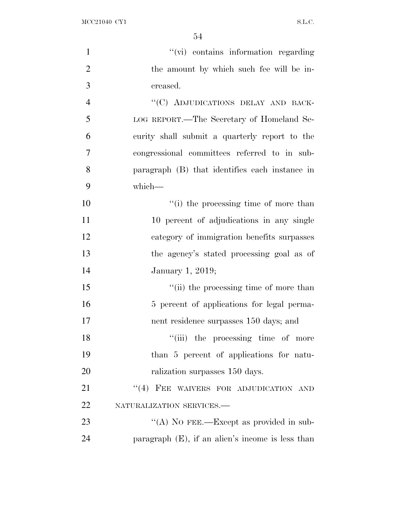MCC21040 CY1 S.L.C.

| $\mathbf{1}$   | "(vi) contains information regarding                |
|----------------|-----------------------------------------------------|
| $\overline{2}$ | the amount by which such fee will be in-            |
| 3              | creased.                                            |
| $\overline{4}$ | "(C) ADJUDICATIONS DELAY AND BACK-                  |
| 5              | LOG REPORT.—The Secretary of Homeland Se-           |
| 6              | curity shall submit a quarterly report to the       |
| $\overline{7}$ | congressional committees referred to in sub-        |
| 8              | paragraph (B) that identifies each instance in      |
| 9              | which-                                              |
| 10             | "(i) the processing time of more than               |
| 11             | 10 percent of adjudications in any single           |
| 12             | category of immigration benefits surpasses          |
| 13             | the agency's stated processing goal as of           |
| 14             | January 1, 2019;                                    |
| 15             | "(ii) the processing time of more than              |
| 16             | 5 percent of applications for legal perma-          |
| 17             | nent residence surpasses 150 days; and              |
| 18             | "(iii) the processing time of more                  |
| 19             | than 5 percent of applications for natu-            |
| 20             | ralization surpasses 150 days.                      |
| 21             | "(4) FEE WAIVERS FOR ADJUDICATION AND               |
| 22             | NATURALIZATION SERVICES.-                           |
| 23             | "(A) NO FEE.—Except as provided in sub-             |
| 24             | paragraph $(E)$ , if an alien's income is less than |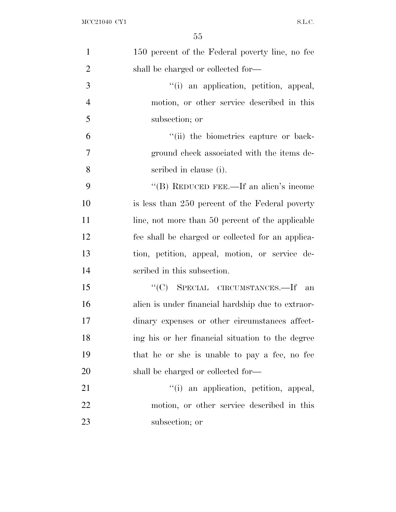| $\mathbf{1}$   | 150 percent of the Federal poverty line, no fee   |
|----------------|---------------------------------------------------|
| $\overline{2}$ | shall be charged or collected for-                |
| 3              | "(i) an application, petition, appeal,            |
| $\overline{4}$ | motion, or other service described in this        |
| 5              | subsection; or                                    |
| 6              | "(ii) the biometrics capture or back-             |
| 7              | ground check associated with the items de-        |
| 8              | scribed in clause (i).                            |
| 9              | "(B) REDUCED FEE.—If an alien's income            |
| 10             | is less than 250 percent of the Federal poverty   |
| 11             | line, not more than 50 percent of the applicable  |
| 12             | fee shall be charged or collected for an applica- |
| 13             | tion, petition, appeal, motion, or service de-    |
| 14             | scribed in this subsection.                       |
| 15             | "(C) SPECIAL CIRCUMSTANCES.—If<br>an              |
| 16             | alien is under financial hardship due to extraor- |
| 17             | dinary expenses or other circumstances affect-    |
| 18             | ing his or her financial situation to the degree  |
| 19             | that he or she is unable to pay a fee, no fee     |
| 20             | shall be charged or collected for-                |
| 21             | "(i) an application, petition, appeal,            |
| 22             | motion, or other service described in this        |
| 23             | subsection; or                                    |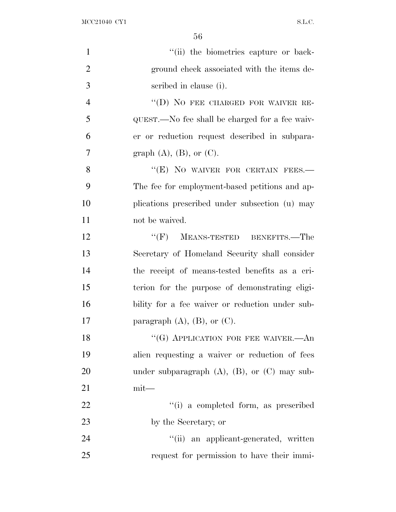$\rm{MCC21040\;\;CY1} \qquad \qquad$ 

| $\mathbf{1}$   | "(ii) the biometries capture or back-                |
|----------------|------------------------------------------------------|
| $\overline{2}$ | ground check associated with the items de-           |
| 3              | scribed in clause (i).                               |
| $\overline{4}$ | "(D) NO FEE CHARGED FOR WAIVER RE-                   |
| 5              | QUEST.—No fee shall be charged for a fee waiv-       |
| 6              | er or reduction request described in subpara-        |
| $\overline{7}$ | graph $(A)$ , $(B)$ , or $(C)$ .                     |
| 8              | "(E) NO WAIVER FOR CERTAIN FEES.-                    |
| 9              | The fee for employment-based petitions and ap-       |
| 10             | plications prescribed under subsection (u) may       |
| 11             | not be waived.                                       |
| 12             | MEANS-TESTED BENEFITS.—The<br>``(F)                  |
| 13             | Secretary of Homeland Security shall consider        |
| 14             | the receipt of means-tested benefits as a cri-       |
| 15             | terion for the purpose of demonstrating eligi-       |
| 16             | bility for a fee waiver or reduction under sub-      |
| 17             | paragraph $(A)$ , $(B)$ , or $(C)$ .                 |
| 18             | "(G) APPLICATION FOR FEE WAIVER. $-An$               |
| 19             | alien requesting a waiver or reduction of fees       |
| 20             | under subparagraph $(A)$ , $(B)$ , or $(C)$ may sub- |
| 21             | $mit$ —                                              |
| 22             | "(i) a completed form, as prescribed                 |
| 23             | by the Secretary; or                                 |
| 24             | "(ii) an applicant-generated, written                |
| 25             | request for permission to have their immi-           |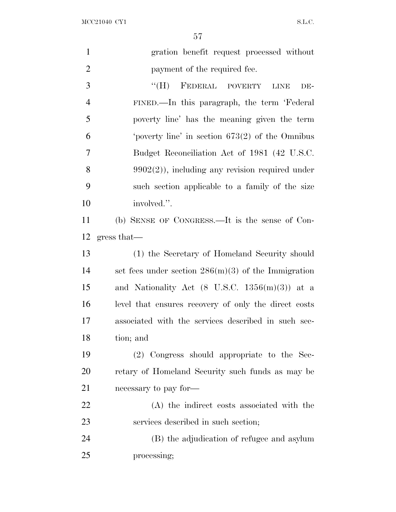$\rm{MCC21040\;\;CY1} \label{eq:1.1}$ 

| $\mathbf{1}$   | gration benefit request processed without                 |
|----------------|-----------------------------------------------------------|
| $\overline{2}$ | payment of the required fee.                              |
| 3              | $\lq\lq(H)$<br>FEDERAL POVERTY<br>DE-<br><b>LINE</b>      |
| $\overline{4}$ | FINED.—In this paragraph, the term 'Federal               |
| 5              | poverty line' has the meaning given the term              |
| 6              | 'poverty line' in section $673(2)$ of the Omnibus         |
| 7              | Budget Reconciliation Act of 1981 (42 U.S.C.              |
| 8              | $9902(2)$ , including any revision required under         |
| 9              | such section applicable to a family of the size           |
| 10             | involved.".                                               |
| 11             | (b) SENSE OF CONGRESS.—It is the sense of Con-            |
| 12             | gress that—                                               |
| 13             | (1) the Secretary of Homeland Security should             |
| 14             | set fees under section $286(m)(3)$ of the Immigration     |
| 15             | and Nationality Act $(8 \text{ U.S.C. } 1356(m)(3))$ at a |
| 16             | level that ensures recovery of only the direct costs      |
| 17             | associated with the services described in such sec-       |
| 18             | tion; and                                                 |
| 19             | (2) Congress should appropriate to the Sec-               |
| <b>20</b>      | retary of Homeland Security such funds as may be          |
| 21             | necessary to pay for-                                     |
| 22             | (A) the indirect costs associated with the                |
| 23             | services described in such section;                       |
| 24             | (B) the adjudication of refugee and asylum                |
| 25             | processing;                                               |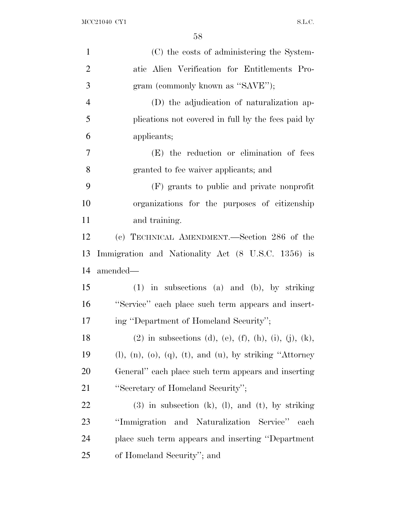| $\mathbf{1}$   | (C) the costs of administering the System-                                 |
|----------------|----------------------------------------------------------------------------|
| $\overline{2}$ | atic Alien Verification for Entitlements Pro-                              |
| 3              | gram (commonly known as "SAVE");                                           |
| $\overline{4}$ | (D) the adjudication of naturalization ap-                                 |
| 5              | plications not covered in full by the fees paid by                         |
| 6              | applicants;                                                                |
| 7              | (E) the reduction or elimination of fees                                   |
| 8              | granted to fee waiver applicants; and                                      |
| 9              | (F) grants to public and private nonprofit                                 |
| 10             | organizations for the purposes of citizenship                              |
| 11             | and training.                                                              |
| 12             | (c) TECHNICAL AMENDMENT.—Section 286 of the                                |
| 13             | Immigration and Nationality Act (8 U.S.C. 1356) is                         |
| 14             | amended—                                                                   |
| 15             | $(1)$ in subsections $(a)$ and $(b)$ , by striking                         |
| 16             | "Service" each place such term appears and insert-                         |
| 17             | ing "Department of Homeland Security";                                     |
| 18             | (2) in subsections (d), (e), (f), (h), (i), (j), (k),                      |
| 19             | $(l)$ , $(n)$ , $(o)$ , $(q)$ , $(t)$ , and $(u)$ , by striking "Attorney" |
| 20             | General" each place such term appears and inserting                        |
| 21             | "Secretary of Homeland Security";                                          |
| 22             | $(3)$ in subsection $(k)$ , $(l)$ , and $(t)$ , by striking                |
| 23             | "Immigration and Naturalization Service"<br>each                           |
| 24             | place such term appears and inserting "Department"                         |
| 25             | of Homeland Security"; and                                                 |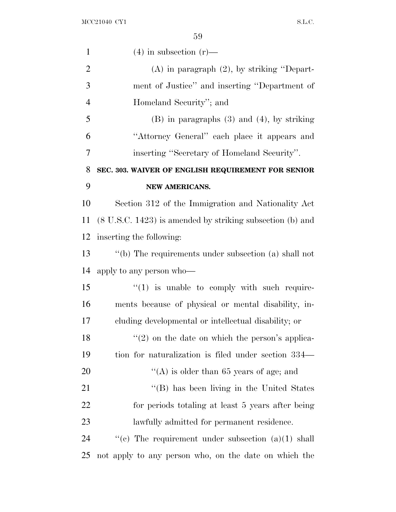| $\mathbf{1}$   | $(4)$ in subsection $(r)$ —                                          |
|----------------|----------------------------------------------------------------------|
| $\overline{2}$ | $(A)$ in paragraph $(2)$ , by striking "Depart-                      |
| 3              | ment of Justice" and inserting "Department of                        |
| $\overline{4}$ | Homeland Security"; and                                              |
| 5              | $(B)$ in paragraphs $(3)$ and $(4)$ , by striking                    |
| 6              | "Attorney General" each place it appears and                         |
| 7              | inserting "Secretary of Homeland Security".                          |
| 8              | SEC. 303. WAIVER OF ENGLISH REQUIREMENT FOR SENIOR                   |
| 9              | NEW AMERICANS.                                                       |
| 10             | Section 312 of the Immigration and Nationality Act                   |
| 11             | $(8 \text{ U.S.C. } 1423)$ is amended by striking subsection (b) and |
| 12             | inserting the following:                                             |
| 13             | "(b) The requirements under subsection (a) shall not                 |
| 14             | apply to any person who—                                             |
| 15             | $\lq(1)$ is unable to comply with such require-                      |
| 16             | ments because of physical or mental disability, in-                  |
| 17             | cluding developmental or intellectual disability; or                 |
| 18             | $f'(2)$ on the date on which the person's applica-                   |
| 19             | tion for naturalization is filed under section 334—                  |
| 20             | "(A) is older than 65 years of age; and                              |
| 21             | "(B) has been living in the United States                            |
| 22             | for periods totaling at least 5 years after being                    |
| 23             | lawfully admitted for permanent residence.                           |
| 24             | "(c) The requirement under subsection $(a)(1)$ shall                 |
| 25             | not apply to any person who, on the date on which the                |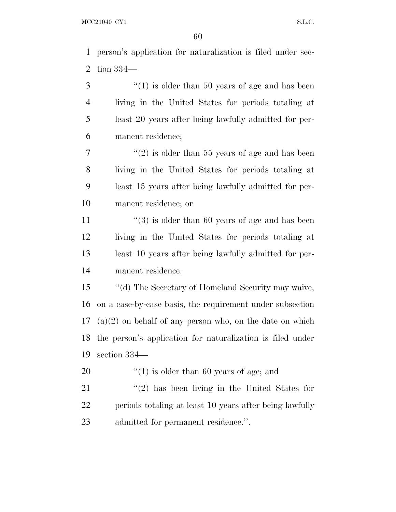person's application for naturalization is filed under sec- tion 334— 3 ''(1) is older than 50 years of age and has been living in the United States for periods totaling at least 20 years after being lawfully admitted for per- manent residence; ''(2) is older than 55 years of age and has been living in the United States for periods totaling at least 15 years after being lawfully admitted for per- manent residence; or  $\frac{1}{3}$  is older than 60 years of age and has been living in the United States for periods totaling at least 10 years after being lawfully admitted for per- manent residence. ''(d) The Secretary of Homeland Security may waive, on a case-by-case basis, the requirement under subsection (a)(2) on behalf of any person who, on the date on which the person's application for naturalization is filed under section 334—  $\frac{1}{20}$   $\frac{1}{20}$  is older than 60 years of age; and 21 ''(2) has been living in the United States for

 periods totaling at least 10 years after being lawfully admitted for permanent residence.''.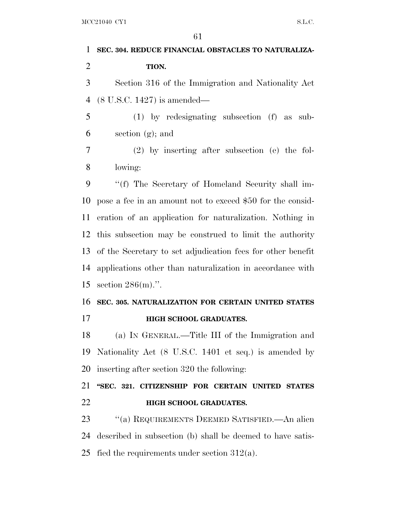| 1              | 61                                                          |
|----------------|-------------------------------------------------------------|
|                | SEC. 304. REDUCE FINANCIAL OBSTACLES TO NATURALIZA-         |
| $\overline{2}$ | TION.                                                       |
| 3              | Section 316 of the Immigration and Nationality Act          |
| 4              | $(8 \text{ U.S.C. } 1427)$ is amended—                      |
| 5              | $(1)$ by redesignating subsection $(f)$ as sub-             |
| 6              | section $(g)$ ; and                                         |
| 7              | $(2)$ by inserting after subsection (e) the fol-            |
| 8              | lowing:                                                     |
| 9              | "(f) The Secretary of Homeland Security shall im-           |
| 10             | pose a fee in an amount not to exceed \$50 for the consid-  |
| 11             | eration of an application for naturalization. Nothing in    |
| 12             | this subsection may be construed to limit the authority     |
| 13             | of the Secretary to set adjudication fees for other benefit |
| 14             | applications other than naturalization in accordance with   |
| 15             | section $286(m)$ .".                                        |
| 16             | SEC. 305. NATURALIZATION FOR CERTAIN UNITED STATES          |
| 17             | <b>HIGH SCHOOL GRADUATES.</b>                               |
| 18             | (a) IN GENERAL.—Title III of the Immigration and            |
| 19             | Nationality Act (8 U.S.C. 1401 et seq.) is amended by       |
| 20             | inserting after section 320 the following:                  |
| 21             | "SEC. 321. CITIZENSHIP FOR CERTAIN UNITED STATES            |
| 22             | <b>HIGH SCHOOL GRADUATES.</b>                               |
| 23             | "(a) REQUIREMENTS DEEMED SATISFIED.—An alien                |
|                |                                                             |

25 fied the requirements under section  $312(a)$ .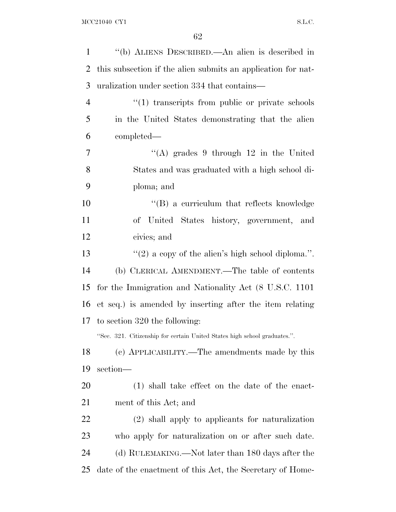| $\mathbf{1}$   | "(b) ALIENS DESCRIBED.—An alien is described in                           |
|----------------|---------------------------------------------------------------------------|
| 2              | this subsection if the alien submits an application for nat-              |
| 3              | uralization under section 334 that contains—                              |
| $\overline{4}$ | "(1) transcripts from public or private schools                           |
| 5              | in the United States demonstrating that the alien                         |
| 6              | completed—                                                                |
| 7              | "(A) grades 9 through $12$ in the United                                  |
| 8              | States and was graduated with a high school di-                           |
| 9              | ploma; and                                                                |
| 10             | $\lq\lq$ (B) a curriculum that reflects knowledge                         |
| 11             | of United States history, government, and                                 |
| 12             | civics; and                                                               |
| 13             | "(2) a copy of the alien's high school diploma.".                         |
| 14             | (b) CLERICAL AMENDMENT.—The table of contents                             |
| 15             | for the Immigration and Nationality Act (8 U.S.C. 1101)                   |
| 16             | et seq.) is amended by inserting after the item relating                  |
| 17             | to section 320 the following:                                             |
|                | "Sec. 321. Citizenship for certain United States high school graduates.". |
| 18             | (c) APPLICABILITY.—The amendments made by this                            |
| 19             | section-                                                                  |
| <b>20</b>      | $(1)$ shall take effect on the date of the enact-                         |
| 21             | ment of this Act; and                                                     |
| 22             | (2) shall apply to applicants for naturalization                          |
| 23             | who apply for naturalization on or after such date.                       |
| 24             | (d) RULEMAKING.—Not later than 180 days after the                         |
| 25             | date of the enactment of this Act, the Secretary of Home-                 |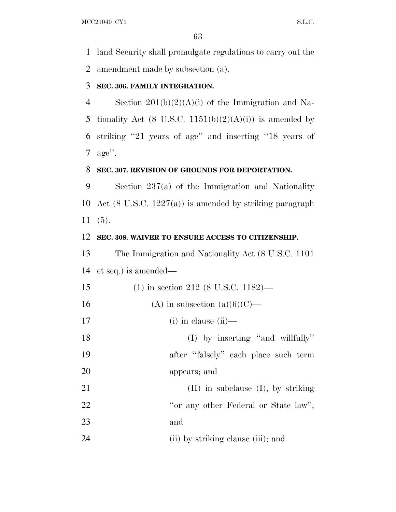land Security shall promulgate regulations to carry out the amendment made by subsection (a).

#### **SEC. 306. FAMILY INTEGRATION.**

 Section 201(b)(2)(A)(i) of the Immigration and Na-5 tionality Act (8 U.S.C.  $1151(b)(2)(A)(i)$ ) is amended by striking ''21 years of age'' and inserting ''18 years of age''.

#### **SEC. 307. REVISION OF GROUNDS FOR DEPORTATION.**

 Section 237(a) of the Immigration and Nationality Act (8 U.S.C. 1227(a)) is amended by striking paragraph (5).

#### **SEC. 308. WAIVER TO ENSURE ACCESS TO CITIZENSHIP.**

 The Immigration and Nationality Act (8 U.S.C. 1101 et seq.) is amended—

| 15 | $(1)$ in section 212 (8 U.S.C. 1182)—   |
|----|-----------------------------------------|
| 16 | (A) in subsection $(a)(6)(C)$ —         |
| 17 | $(i)$ in clause $(ii)$ —                |
| 18 | $(I)$ by inserting "and willfully"      |
| 19 | after "falsely" each place such term    |
| 20 | appears; and                            |
| 21 | $(II)$ in subclause $(I)$ , by striking |
| 22 | "or any other Federal or State law";    |
| 23 | and                                     |
| 24 | (ii) by striking clause (iii); and      |
|    |                                         |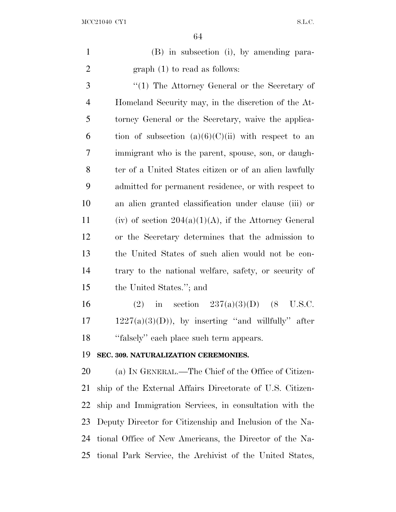| $\mathbf{1}$   | (B) in subsection (i), by amending para-                  |
|----------------|-----------------------------------------------------------|
| $\overline{2}$ | $graph(1)$ to read as follows:                            |
| 3              | "(1) The Attorney General or the Secretary of             |
| 4              | Homeland Security may, in the discretion of the At-       |
| 5              | torney General or the Secretary, waive the applica-       |
| 6              | tion of subsection $(a)(6)(C)(ii)$ with respect to an     |
| $\tau$         | immigrant who is the parent, spouse, son, or daugh-       |
| 8              | ter of a United States citizen or of an alien lawfully    |
| 9              | admitted for permanent residence, or with respect to      |
| 10             | an alien granted classification under clause (iii) or     |
| 11             | (iv) of section $204(a)(1)(A)$ , if the Attorney General  |
| 12             | or the Secretary determines that the admission to         |
| 13             | the United States of such alien would not be con-         |
| 14             | trary to the national welfare, safety, or security of     |
| 15             | the United States."; and                                  |
| 16             | in section $237(a)(3)(D)$ (8<br>(2)<br>U.S.C.             |
| 17             | $1227(a)(3)(D)$ , by inserting "and willfully" after      |
| 18             | "falsely" each place such term appears.                   |
| 19             | SEC. 309. NATURALIZATION CEREMONIES.                      |
| 20             | (a) IN GENERAL.—The Chief of the Office of Citizen-       |
| 21             | ship of the External Affairs Directorate of U.S. Citizen- |
| 22             | ship and Immigration Services, in consultation with the   |
|                |                                                           |
| 23             | Deputy Director for Citizenship and Inclusion of the Na-  |
| 24             | tional Office of New Americans, the Director of the Na-   |
| 25             | tional Park Service, the Archivist of the United States,  |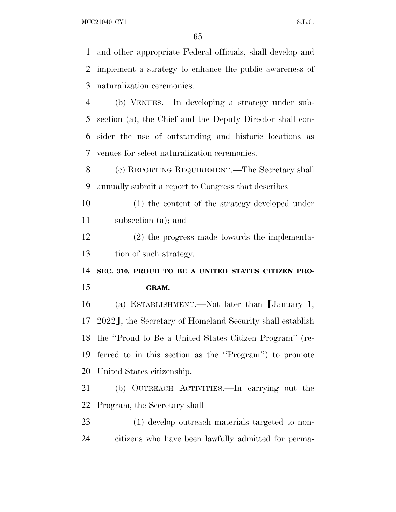MCC21040 CY1 S.L.C.

and other appropriate Federal officials, shall develop and

 implement a strategy to enhance the public awareness of naturalization ceremonies. (b) VENUES.—In developing a strategy under sub- section (a), the Chief and the Deputy Director shall con- sider the use of outstanding and historic locations as venues for select naturalization ceremonies. (c) REPORTING REQUIREMENT.—The Secretary shall annually submit a report to Congress that describes— (1) the content of the strategy developed under subsection (a); and (2) the progress made towards the implementa- tion of such strategy. **SEC. 310. PROUD TO BE A UNITED STATES CITIZEN PRO- GRAM.** 16 (a) ESTABLISHMENT.—Not later than January 1, 17 2022], the Secretary of Homeland Security shall establish the ''Proud to Be a United States Citizen Program'' (re- ferred to in this section as the ''Program'') to promote United States citizenship. (b) OUTREACH ACTIVITIES.—In carrying out the Program, the Secretary shall— (1) develop outreach materials targeted to non-citizens who have been lawfully admitted for perma-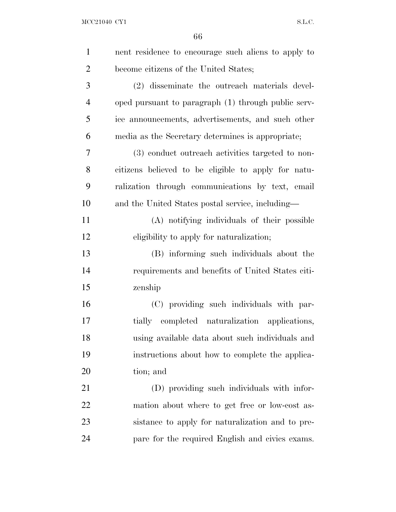| $\mathbf{1}$   | nent residence to encourage such aliens to apply to |
|----------------|-----------------------------------------------------|
| $\overline{2}$ | become citizens of the United States;               |
| 3              | (2) disseminate the outreach materials devel-       |
| $\overline{4}$ | oped pursuant to paragraph (1) through public serv- |
| 5              | ice announcements, advertisements, and such other   |
| 6              | media as the Secretary determines is appropriate;   |
| 7              | (3) conduct outreach activities targeted to non-    |
| 8              | citizens believed to be eligible to apply for natu- |
| 9              | ralization through communications by text, email    |
| 10             | and the United States postal service, including—    |
| 11             | (A) notifying individuals of their possible         |
| 12             | eligibility to apply for naturalization;            |
| 13             | (B) informing such individuals about the            |
| 14             | requirements and benefits of United States citi-    |
| 15             | zenship                                             |
| 16             | (C) providing such individuals with par-            |
| 17             | tially completed naturalization applications,       |
| 18             | using available data about such individuals and     |
| 19             | instructions about how to complete the applica-     |
| 20             | tion; and                                           |
| 21             | (D) providing such individuals with infor-          |
| 22             | mation about where to get free or low-cost as-      |
| 23             | sistance to apply for naturalization and to pre-    |
| 24             | pare for the required English and civics exams.     |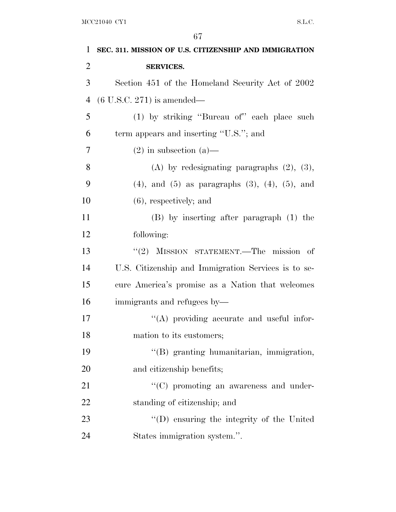| $\mathbf{1}$   | SEC. 311. MISSION OF U.S. CITIZENSHIP AND IMMIGRATION       |
|----------------|-------------------------------------------------------------|
| $\overline{2}$ | <b>SERVICES.</b>                                            |
| 3              | Section 451 of the Homeland Security Act of 2002            |
| $\overline{4}$ | $(6 \text{ U.S.C. } 271)$ is amended—                       |
| 5              | (1) by striking "Bureau of" each place such                 |
| 6              | term appears and inserting "U.S."; and                      |
| 7              | $(2)$ in subsection $(a)$ —                                 |
| 8              | (A) by redesignating paragraphs $(2)$ , $(3)$ ,             |
| 9              | $(4)$ , and $(5)$ as paragraphs $(3)$ , $(4)$ , $(5)$ , and |
| 10             | $(6)$ , respectively; and                                   |
| 11             | $(B)$ by inserting after paragraph $(1)$ the                |
| 12             | following:                                                  |
| 13             | "(2) MISSION STATEMENT.—The mission of                      |
| 14             | U.S. Citizenship and Immigration Services is to se-         |
| 15             | cure America's promise as a Nation that welcomes            |
| 16             | immigrants and refugees by—                                 |
| 17             | $\lq\lq$ providing accurate and useful infor-               |
| 18             | mation to its customers;                                    |
| 19             | "(B) granting humanitarian, immigration,                    |
| 20             | and citizenship benefits;                                   |
| 21             | $\lq\lq$ (C) promoting an awareness and under-              |
| 22             | standing of citizenship; and                                |
| 23             | "(D) ensuring the integrity of the United                   |
| 24             | States immigration system.".                                |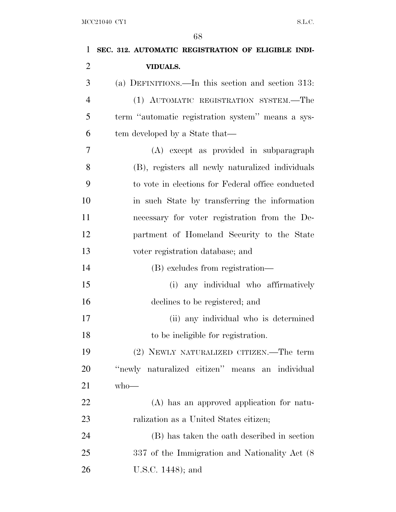| 1              | SEC. 312. AUTOMATIC REGISTRATION OF ELIGIBLE INDI- |
|----------------|----------------------------------------------------|
| $\overline{2}$ | <b>VIDUALS.</b>                                    |
| 3              | (a) DEFINITIONS.—In this section and section 313:  |
| $\overline{4}$ | (1) AUTOMATIC REGISTRATION SYSTEM.—The             |
| 5              | term "automatic registration system" means a sys-  |
| 6              | tem developed by a State that—                     |
| 7              | (A) except as provided in subparagraph             |
| 8              | (B), registers all newly naturalized individuals   |
| 9              | to vote in elections for Federal office conducted  |
| 10             | in such State by transferring the information      |
| 11             | necessary for voter registration from the De-      |
| 12             | partment of Homeland Security to the State         |
| 13             | voter registration database; and                   |
| 14             | (B) excludes from registration—                    |
| 15             | (i) any individual who affirmatively               |
| 16             | declines to be registered; and                     |
| 17             | (ii) any individual who is determined              |
| 18             | to be ineligible for registration.                 |
| 19             | (2) NEWLY NATURALIZED CITIZEN.—The term            |
| 20             | "newly naturalized citizen" means an individual    |
| 21             | $who$ —                                            |
| 22             | (A) has an approved application for natu-          |
| 23             | ralization as a United States citizen;             |
| 24             | (B) has taken the oath described in section        |
| 25             | 337 of the Immigration and Nationality Act (8)     |
| 26             | U.S.C. 1448); and                                  |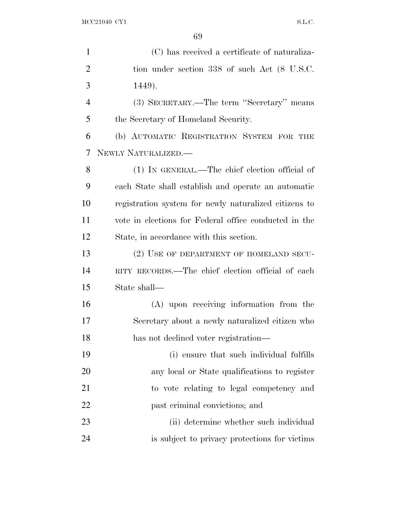$\rm{MCC21040\;\;CY1} \qquad \qquad$ 

| $\mathbf{1}$   | (C) has received a certificate of naturaliza-         |
|----------------|-------------------------------------------------------|
| $\overline{2}$ | tion under section 338 of such Act (8 U.S.C.          |
| 3              | 1449).                                                |
| $\overline{4}$ | (3) SECRETARY.—The term "Secretary" means             |
| 5              | the Secretary of Homeland Security.                   |
| 6              | (b) AUTOMATIC REGISTRATION SYSTEM FOR THE             |
| 7              | NEWLY NATURALIZED.—                                   |
| 8              | (1) IN GENERAL.—The chief election official of        |
| 9              | each State shall establish and operate an automatic   |
| 10             | registration system for newly naturalized citizens to |
| 11             | vote in elections for Federal office conducted in the |
| 12             | State, in accordance with this section.               |
| 13             | (2) USE OF DEPARTMENT OF HOMELAND SECU-               |
| 14             | RITY RECORDS.—The chief election official of each     |
| 15             | State shall—                                          |
| 16             | (A) upon receiving information from the               |
| 17             | Secretary about a newly naturalized citizen who       |
| 18             | has not declined voter registration—                  |
| 19             | (i) ensure that such individual fulfills              |
| 20             | any local or State qualifications to register         |
| 21             | to vote relating to legal competency and              |
| 22             | past criminal convictions; and                        |
| 23             | (ii) determine whether such individual                |
| 24             | is subject to privacy protections for victims         |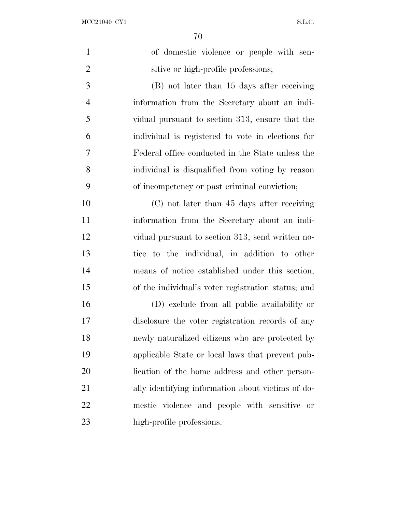$\rm{MCC21040\;\;CY1} \qquad \qquad$ 

| $\mathbf{1}$   | of domestic violence or people with sen-           |
|----------------|----------------------------------------------------|
| $\overline{2}$ | sitive or high-profile professions;                |
| 3              | (B) not later than 15 days after receiving         |
| $\overline{4}$ | information from the Secretary about an indi-      |
| 5              | vidual pursuant to section 313, ensure that the    |
| 6              | individual is registered to vote in elections for  |
| 7              | Federal office conducted in the State unless the   |
| 8              | individual is disqualified from voting by reason   |
| 9              | of incompetency or past criminal conviction;       |
| 10             | (C) not later than 45 days after receiving         |
| 11             | information from the Secretary about an indi-      |
| 12             | vidual pursuant to section 313, send written no-   |
| 13             | tice to the individual, in addition to other       |
| 14             | means of notice established under this section,    |
| 15             | of the individual's voter registration status; and |
| 16             | (D) exclude from all public availability or        |
| 17             | disclosure the voter registration records of any   |
| 18             | newly naturalized citizens who are protected by    |
| 19             | applicable State or local laws that prevent pub-   |
| 20             | lication of the home address and other person-     |
| 21             | ally identifying information about victims of do-  |
| 22             | mestic violence and people with sensitive or       |
| 23             | high-profile professions.                          |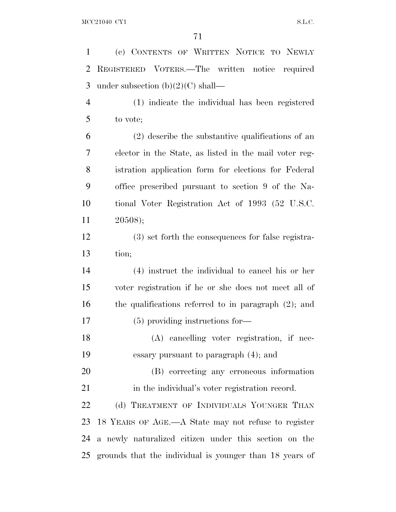| $\mathbf{1}$   | (c) CONTENTS OF WRITTEN NOTICE TO NEWLY                    |
|----------------|------------------------------------------------------------|
| 2              | REGISTERED VOTERS.—The written notice required             |
| 3              | under subsection $(b)(2)(C)$ shall—                        |
| $\overline{4}$ | (1) indicate the individual has been registered            |
| 5              | to vote;                                                   |
| 6              | $(2)$ describe the substantive qualifications of an        |
| 7              | elector in the State, as listed in the mail voter reg-     |
| 8              | istration application form for elections for Federal       |
| 9              | office prescribed pursuant to section 9 of the Na-         |
| 10             | tional Voter Registration Act of 1993 (52 U.S.C.           |
| 11             | 20508);                                                    |
| 12             | (3) set forth the consequences for false registra-         |
| 13             | tion;                                                      |
| 14             | (4) instruct the individual to cancel his or her           |
| 15             | voter registration if he or she does not meet all of       |
| 16             | the qualifications referred to in paragraph $(2)$ ; and    |
| 17             | $(5)$ providing instructions for-                          |
| 18             | (A) cancelling voter registration, if nec-                 |
| 19             | essary pursuant to paragraph $(4)$ ; and                   |
| 20             | (B) correcting any erroneous information                   |
| 21             | in the individual's voter registration record.             |
| 22             | (d) TREATMENT OF INDIVIDUALS YOUNGER THAN                  |
| 23             | 18 YEARS OF AGE.—A State may not refuse to register        |
| 24             | a newly naturalized citizen under this section on the      |
|                | 25 grounds that the individual is younger than 18 years of |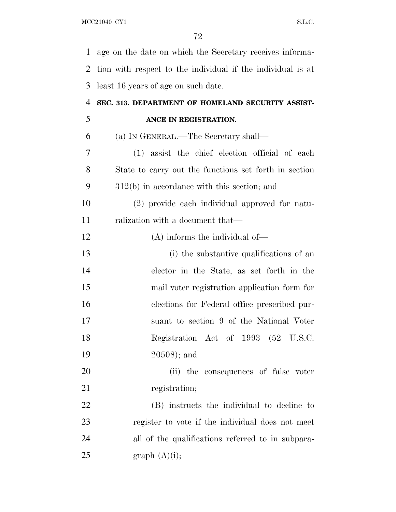| $\mathbf{1}$   | age on the date on which the Secretary receives informa-    |
|----------------|-------------------------------------------------------------|
| $\overline{2}$ | tion with respect to the individual if the individual is at |
| 3              | least 16 years of age on such date.                         |
| $\overline{4}$ | SEC. 313. DEPARTMENT OF HOMELAND SECURITY ASSIST-           |
| 5              | ANCE IN REGISTRATION.                                       |
| 6              | (a) IN GENERAL.—The Secretary shall—                        |
| 7              | (1) assist the chief election official of each              |
| 8              | State to carry out the functions set forth in section       |
| 9              | $312(b)$ in accordance with this section; and               |
| 10             | (2) provide each individual approved for natu-              |
| 11             | ralization with a document that—                            |
| 12             | $(A)$ informs the individual of-                            |
| 13             | (i) the substantive qualifications of an                    |
| 14             | elector in the State, as set forth in the                   |
| 15             | mail voter registration application form for                |
| 16             | elections for Federal office prescribed pur-                |
| 17             | suant to section 9 of the National Voter                    |
| 18             | Registration Act of 1993 (52 U.S.C.                         |
| 19             | $20508$ ; and                                               |
| 20             | (ii) the consequences of false voter                        |
| 21             | registration;                                               |
| 22             | (B) instructs the individual to decline to                  |
| 23             | register to vote if the individual does not meet            |
| 24             | all of the qualifications referred to in subpara-           |
| 25             | graph $(A)(i)$ ;                                            |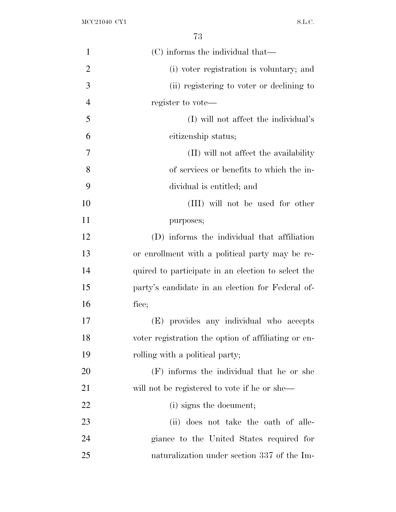| $\mathbf{1}$   | (C) informs the individual that—                    |
|----------------|-----------------------------------------------------|
| $\overline{2}$ | (i) voter registration is voluntary; and            |
| 3              | (ii) registering to voter or declining to           |
| $\overline{4}$ | register to vote—                                   |
| 5              | (I) will not affect the individual's                |
| 6              | citizenship status;                                 |
| 7              | (II) will not affect the availability               |
| 8              | of services or benefits to which the in-            |
| 9              | dividual is entitled; and                           |
| 10             | (III) will not be used for other                    |
| 11             | purposes;                                           |
| 12             | (D) informs the individual that affiliation         |
| 13             | or enrollment with a political party may be re-     |
| 14             | quired to participate in an election to select the  |
| 15             | party's candidate in an election for Federal of-    |
| 16             | fice;                                               |
| 17             | (E) provides any individual who accepts             |
| 18             | voter registration the option of affiliating or en- |
| 19             | rolling with a political party;                     |
| 20             | (F) informs the individual that he or she           |
| 21             | will not be registered to vote if he or she—        |
| 22             | (i) signs the document;                             |
| 23             | (ii) does not take the oath of alle-                |
| 24             | giance to the United States required for            |
| 25             | naturalization under section 337 of the Im-         |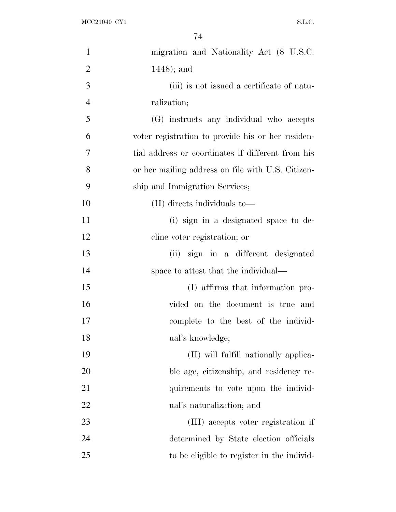| $\mathbf{1}$   | migration and Nationality Act (8 U.S.C.           |
|----------------|---------------------------------------------------|
| $\overline{2}$ | $1448$ ; and                                      |
| 3              | (iii) is not issued a certificate of natu-        |
| $\overline{4}$ | ralization;                                       |
| 5              | (G) instructs any individual who accepts          |
| 6              | voter registration to provide his or her residen- |
| 7              | tial address or coordinates if different from his |
| 8              | or her mailing address on file with U.S. Citizen- |
| 9              | ship and Immigration Services;                    |
| 10             | (H) directs individuals to-                       |
| 11             | (i) sign in a designated space to de-             |
| 12             | cline voter registration; or                      |
| 13             | sign in a different designated<br>(ii)            |
| 14             | space to attest that the individual—              |
| 15             | (I) affirms that information pro-                 |
| 16             | vided on the document is true and                 |
| 17             | complete to the best of the individ-              |
| 18             | ual's knowledge;                                  |
| 19             | (II) will fulfill nationally applica-             |
| 20             | ble age, citizenship, and residency re-           |
| 21             | quirements to vote upon the individ-              |
| 22             | ual's naturalization; and                         |
| 23             | (III) accepts voter registration if               |
| 24             | determined by State election officials            |
| 25             | to be eligible to register in the individ-        |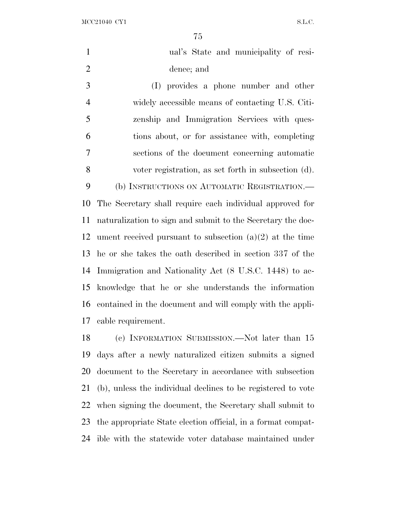| $\mathbf{1}$   | ual's State and municipality of resi-                       |
|----------------|-------------------------------------------------------------|
| $\overline{2}$ | dence; and                                                  |
| 3              | (I) provides a phone number and other                       |
| $\overline{4}$ | widely accessible means of contacting U.S. Citi-            |
| 5              | zenship and Immigration Services with ques-                 |
| 6              | tions about, or for assistance with, completing             |
| $\tau$         | sections of the document concerning automatic               |
| 8              | voter registration, as set forth in subsection (d).         |
| 9              | (b) INSTRUCTIONS ON AUTOMATIC REGISTRATION.—                |
| 10             | The Secretary shall require each individual approved for    |
| 11             | naturalization to sign and submit to the Secretary the doc- |
| 12             | ument received pursuant to subsection $(a)(2)$ at the time  |
| 13             | he or she takes the oath described in section 337 of the    |
| 14             | Immigration and Nationality Act (8 U.S.C. 1448) to ac-      |
| 15             | knowledge that he or she understands the information        |
| 16             | contained in the document and will comply with the appli-   |
| 17             | cable requirement.                                          |
| 18             | (c) INFORMATION SUBMISSION.—Not later than 15               |
|                | 19 days after a newly naturalized citizen submits a signed  |

document to the Secretary in accordance with subsection

(b), unless the individual declines to be registered to vote

when signing the document, the Secretary shall submit to

the appropriate State election official, in a format compat-

ible with the statewide voter database maintained under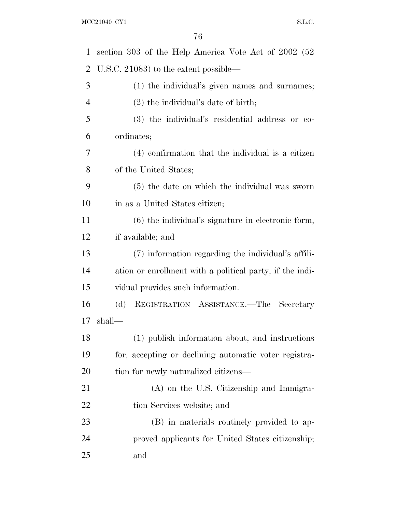| 1              | section 303 of the Help America Vote Act of 2002 (52)    |
|----------------|----------------------------------------------------------|
| 2              | U.S.C. 21083) to the extent possible—                    |
| 3              | (1) the individual's given names and surnames;           |
| $\overline{4}$ | $(2)$ the individual's date of birth;                    |
| 5              | (3) the individual's residential address or co-          |
| 6              | ordinates;                                               |
| 7              | (4) confirmation that the individual is a citizen        |
| 8              | of the United States;                                    |
| 9              | (5) the date on which the individual was sworn           |
| 10             | in as a United States citizen;                           |
| 11             | $(6)$ the individual's signature in electronic form,     |
| 12             | if available; and                                        |
| 13             | (7) information regarding the individual's affili-       |
| 14             | ation or enrollment with a political party, if the indi- |
| 15             | vidual provides such information.                        |
| 16             | REGISTRATION ASSISTANCE.—The Secretary<br>(d)            |
| 17             | shall—                                                   |
| 18             | (1) publish information about, and instructions          |
| 19             | for, accepting or declining automatic voter registra-    |
| 20             | tion for newly naturalized citizens—                     |
| 21             | $(A)$ on the U.S. Citizenship and Immigra-               |
| 22             | tion Services website; and                               |
| 23             | (B) in materials routinely provided to ap-               |
| 24             | proved applicants for United States citizenship;         |
| 25             | and                                                      |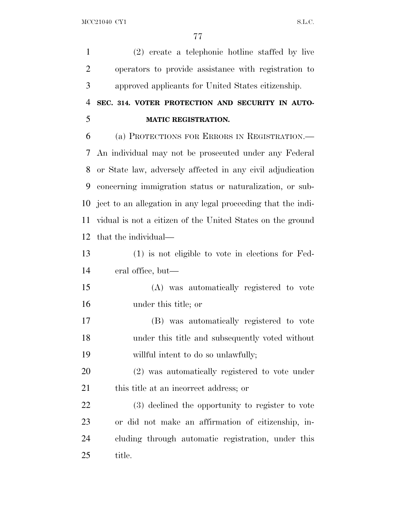(2) create a telephonic hotline staffed by live operators to provide assistance with registration to approved applicants for United States citizenship.

|   |  | 4 SEC. 314. VOTER PROTECTION AND SECURITY IN AUTO- |  |  |
|---|--|----------------------------------------------------|--|--|
| 5 |  | <b>MATIC REGISTRATION.</b>                         |  |  |

 (a) PROTECTIONS FOR ERRORS IN REGISTRATION.— An individual may not be prosecuted under any Federal or State law, adversely affected in any civil adjudication concerning immigration status or naturalization, or sub- ject to an allegation in any legal proceeding that the indi- vidual is not a citizen of the United States on the ground that the individual—

 (1) is not eligible to vote in elections for Fed-eral office, but—

 (A) was automatically registered to vote under this title; or

 (B) was automatically registered to vote under this title and subsequently voted without willful intent to do so unlawfully;

 (2) was automatically registered to vote under 21 this title at an incorrect address; or

 (3) declined the opportunity to register to vote or did not make an affirmation of citizenship, in- cluding through automatic registration, under this title.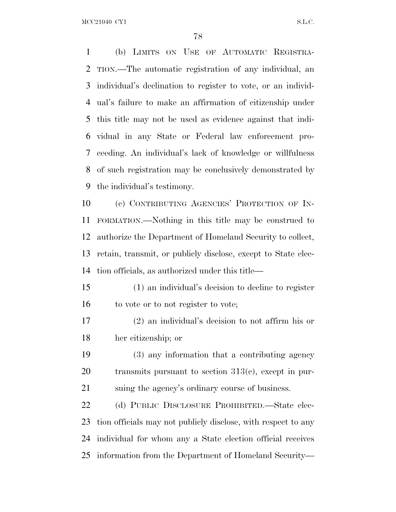(b) LIMITS ON USE OF AUTOMATIC REGISTRA- TION.—The automatic registration of any individual, an individual's declination to register to vote, or an individ- ual's failure to make an affirmation of citizenship under this title may not be used as evidence against that indi- vidual in any State or Federal law enforcement pro- ceeding. An individual's lack of knowledge or willfulness of such registration may be conclusively demonstrated by the individual's testimony.

 (c) CONTRIBUTING AGENCIES' PROTECTION OF IN- FORMATION.—Nothing in this title may be construed to authorize the Department of Homeland Security to collect, retain, transmit, or publicly disclose, except to State elec-tion officials, as authorized under this title—

 (1) an individual's decision to decline to register 16 to vote or to not register to vote;

 (2) an individual's decision to not affirm his or her citizenship; or

 (3) any information that a contributing agency 20 transmits pursuant to section  $313(c)$ , except in pur-suing the agency's ordinary course of business.

 (d) PUBLIC DISCLOSURE PROHIBITED.—State elec- tion officials may not publicly disclose, with respect to any individual for whom any a State election official receives information from the Department of Homeland Security—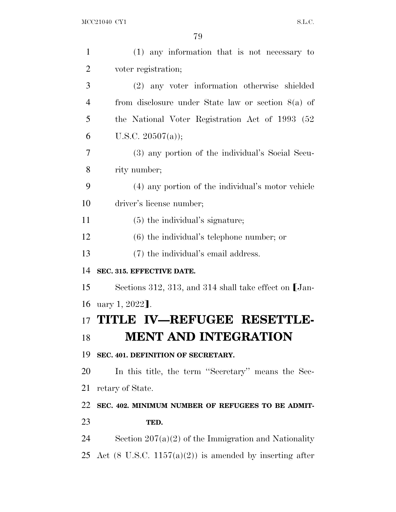| $\mathbf{1}$ | $(1)$ any information that is not necessary to                     |
|--------------|--------------------------------------------------------------------|
| 2            | voter registration;                                                |
| 3            | (2) any voter information otherwise shielded                       |
| 4            | from disclosure under State law or section $8(a)$ of               |
| 5            | the National Voter Registration Act of 1993 (52)                   |
| 6            | U.S.C. $20507(a)$ ;                                                |
| 7            | (3) any portion of the individual's Social Secu-                   |
| 8            | rity number;                                                       |
| 9            | (4) any portion of the individual's motor vehicle                  |
| 10           | driver's license number;                                           |
| 11           | $(5)$ the individual's signature;                                  |
| 12           | $(6)$ the individual's telephone number; or                        |
| 13           | (7) the individual's email address.                                |
| 14           | SEC. 315. EFFECTIVE DATE.                                          |
| 15           | Sections 312, 313, and 314 shall take effect on [Jan-              |
| 16           | uary 1, 2022].                                                     |
| 17           | TITLE IV-REFUGEE RESETTLE-                                         |
| 18           | MENT AND INTEGRATION                                               |
| 19           | SEC. 401. DEFINITION OF SECRETARY.                                 |
| 20           | In this title, the term "Secretary" means the Sec-                 |
| 21           | retary of State.                                                   |
| 22           | SEC. 402. MINIMUM NUMBER OF REFUGEES TO BE ADMIT-                  |
| 23           | TED.                                                               |
| 24           | Section $207(a)(2)$ of the Immigration and Nationality             |
| 25           | Act $(8 \text{ U.S.C. } 1157(a)(2))$ is amended by inserting after |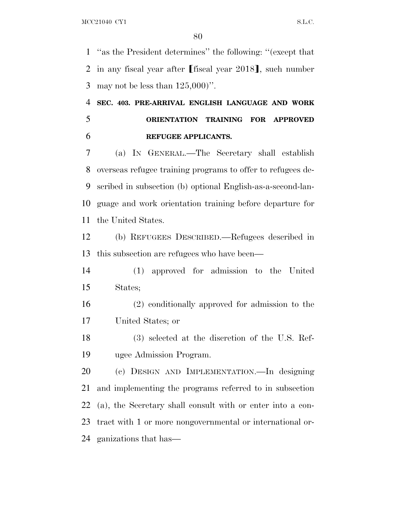''as the President determines'' the following: ''(except that 2 in any fiscal year after [fiscal year ], such number may not be less than 125,000)''.

## **SEC. 403. PRE-ARRIVAL ENGLISH LANGUAGE AND WORK ORIENTATION TRAINING FOR APPROVED REFUGEE APPLICANTS.**

 (a) I<sup>N</sup> GENERAL.—The Secretary shall establish overseas refugee training programs to offer to refugees de- scribed in subsection (b) optional English-as-a-second-lan- guage and work orientation training before departure for the United States.

 (b) REFUGEES DESCRIBED.—Refugees described in this subsection are refugees who have been—

 (1) approved for admission to the United States;

 (2) conditionally approved for admission to the United States; or

 (3) selected at the discretion of the U.S. Ref-ugee Admission Program.

 (c) DESIGN AND IMPLEMENTATION.—In designing and implementing the programs referred to in subsection (a), the Secretary shall consult with or enter into a con- tract with 1 or more nongovernmental or international or-ganizations that has—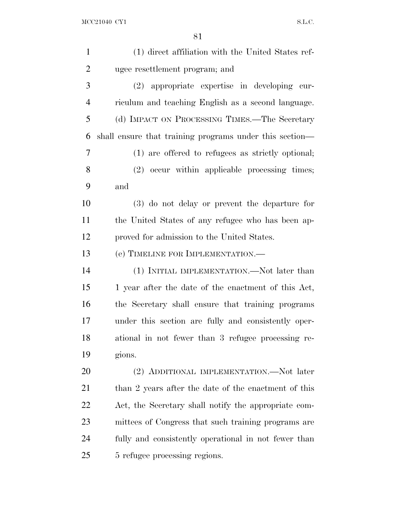| $\mathbf{1}$   | (1) direct affiliation with the United States ref-      |
|----------------|---------------------------------------------------------|
| $\overline{2}$ | ugee resettlement program; and                          |
| 3              | $(2)$ appropriate expertise in developing cur-          |
| $\overline{4}$ | riculum and teaching English as a second language.      |
| 5              | (d) IMPACT ON PROCESSING TIMES.—The Secretary           |
| 6              | shall ensure that training programs under this section— |
| 7              | (1) are offered to refugees as strictly optional;       |
| 8              | (2) occur within applicable processing times;           |
| 9              | and                                                     |
| 10             | $(3)$ do not delay or prevent the departure for         |
| 11             | the United States of any refugee who has been ap-       |
| 12             | proved for admission to the United States.              |
| 13             | (e) TIMELINE FOR IMPLEMENTATION.—                       |
| 14             | (1) INITIAL IMPLEMENTATION.—Not later than              |
| 15             | 1 year after the date of the enactment of this Act,     |
| 16             | the Secretary shall ensure that training programs       |
| 17             | under this section are fully and consistently oper-     |
| 18             | ational in not fewer than 3 refugee processing re-      |
| 19             | gions.                                                  |
| 20             | (2) ADDITIONAL IMPLEMENTATION.—Not later                |
| 21             | than 2 years after the date of the enactment of this    |
| 22             | Act, the Secretary shall notify the appropriate com-    |
| 23             | mittees of Congress that such training programs are     |
| 24             | fully and consistently operational in not fewer than    |
| 25             | 5 refugee processing regions.                           |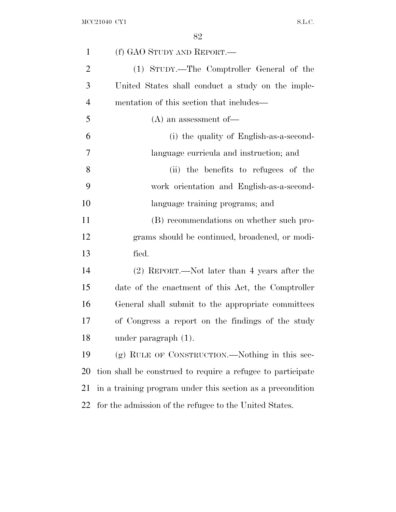| $\mathbf{1}$   | (f) GAO STUDY AND REPORT.—                                  |
|----------------|-------------------------------------------------------------|
| $\overline{2}$ | (1) STUDY.—The Comptroller General of the                   |
| 3              | United States shall conduct a study on the imple-           |
| $\overline{4}$ | mentation of this section that includes—                    |
| 5              | $(A)$ an assessment of —                                    |
| 6              | (i) the quality of English-as-a-second-                     |
| 7              | language curricula and instruction; and                     |
| 8              | (ii) the benefits to refugees of the                        |
| 9              | work orientation and English-as-a-second-                   |
| 10             | language training programs; and                             |
| 11             | (B) recommendations on whether such pro-                    |
| 12             | grams should be continued, broadened, or modi-              |
| 13             | fied.                                                       |
| 14             | (2) REPORT.—Not later than 4 years after the                |
| 15             | date of the enactment of this Act, the Comptroller          |
| 16             | General shall submit to the appropriate committees          |
| 17             | of Congress a report on the findings of the study           |
| 18             | under paragraph $(1)$ .                                     |
| 19             | $(g)$ RULE OF CONSTRUCTION.—Nothing in this sec-            |
| 20             | tion shall be construed to require a refugee to participate |
| 21             | in a training program under this section as a precondition  |
| 22             | for the admission of the refugee to the United States.      |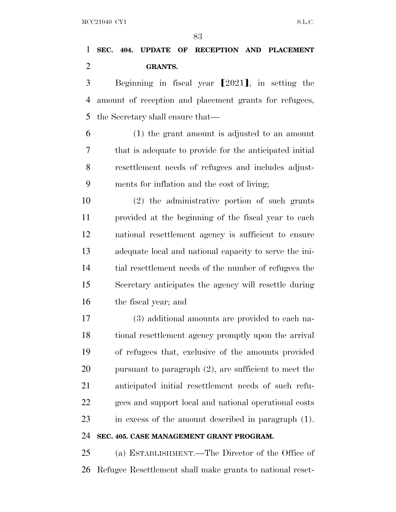### **SEC. 404. UPDATE OF RECEPTION AND PLACEMENT GRANTS.**

3 Beginning in fiscal year  $\lceil 2021 \rceil$ , in setting the amount of reception and placement grants for refugees, the Secretary shall ensure that—

 (1) the grant amount is adjusted to an amount that is adequate to provide for the anticipated initial resettlement needs of refugees and includes adjust-ments for inflation and the cost of living;

 (2) the administrative portion of such grants provided at the beginning of the fiscal year to each national resettlement agency is sufficient to ensure adequate local and national capacity to serve the ini- tial resettlement needs of the number of refugees the Secretary anticipates the agency will resettle during the fiscal year; and

 (3) additional amounts are provided to each na- tional resettlement agency promptly upon the arrival of refugees that, exclusive of the amounts provided pursuant to paragraph (2), are sufficient to meet the anticipated initial resettlement needs of such refu- gees and support local and national operational costs in excess of the amount described in paragraph (1).

### **SEC. 405. CASE MANAGEMENT GRANT PROGRAM.**

 (a) ESTABLISHMENT.—The Director of the Office of Refugee Resettlement shall make grants to national reset-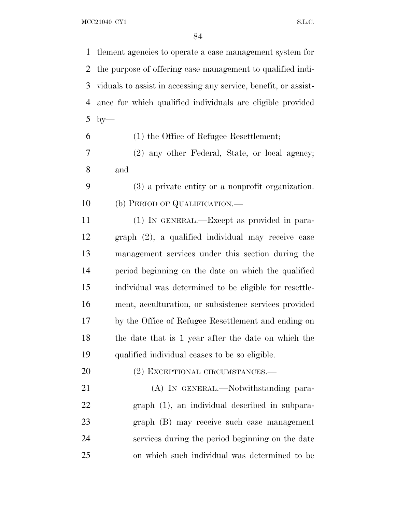tlement agencies to operate a case management system for the purpose of offering case management to qualified indi- viduals to assist in accessing any service, benefit, or assist- ance for which qualified individuals are eligible provided by— (1) the Office of Refugee Resettlement; (2) any other Federal, State, or local agency; and (3) a private entity or a nonprofit organization. 10 (b) PERIOD OF QUALIFICATION.— (1) IN GENERAL.—Except as provided in para- graph (2), a qualified individual may receive case management services under this section during the period beginning on the date on which the qualified individual was determined to be eligible for resettle- ment, acculturation, or subsistence services provided by the Office of Refugee Resettlement and ending on the date that is 1 year after the date on which the qualified individual ceases to be so eligible. 20 (2) EXCEPTIONAL CIRCUMSTANCES.— 21 (A) IN GENERAL.—Notwithstanding para- graph (1), an individual described in subpara- graph (B) may receive such case management services during the period beginning on the date on which such individual was determined to be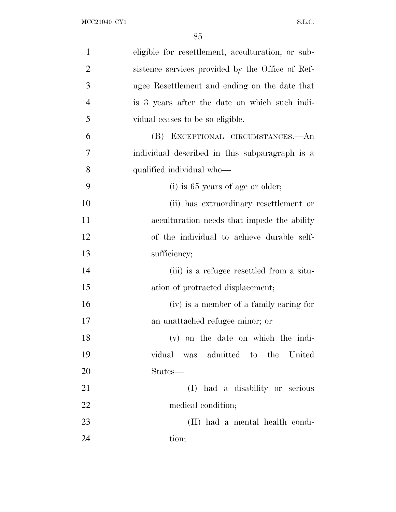| $\mathbf{1}$   | eligible for resettlement, acculturation, or sub- |
|----------------|---------------------------------------------------|
| $\overline{2}$ | sistence services provided by the Office of Ref-  |
| 3              | ugee Resettlement and ending on the date that     |
| $\overline{4}$ | is 3 years after the date on which such indi-     |
| 5              | vidual ceases to be so eligible.                  |
| 6              | (B) EXCEPTIONAL CIRCUMSTANCES.—An                 |
| 7              | individual described in this subparagraph is a    |
| 8              | qualified individual who-                         |
| 9              | $(i)$ is 65 years of age or older;                |
| 10             | (ii) has extraordinary resettlement or            |
| 11             | acculturation needs that impede the ability       |
| 12             | of the individual to achieve durable self-        |
| 13             | sufficiency;                                      |
| 14             | (iii) is a refugee resettled from a situ-         |
| 15             | ation of protracted displacement;                 |
| 16             | (iv) is a member of a family caring for           |
| 17             | an unattached refugee minor; or                   |
| 18             | $(v)$ on the date on which the indi-              |
| 19             | vidual was admitted to the<br>United              |
| 20             | States—                                           |
| 21             | (I) had a disability or serious                   |
| 22             | medical condition;                                |
| 23             | (II) had a mental health condi-                   |
| 24             | tion;                                             |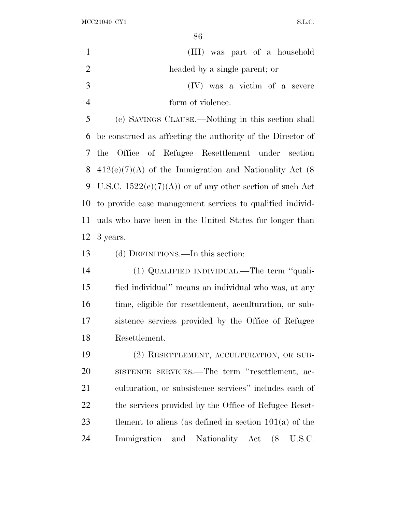|                | oυ                                                         |
|----------------|------------------------------------------------------------|
| $\mathbf{1}$   | (III) was part of a household                              |
| $\overline{2}$ | headed by a single parent; or                              |
| 3              | (IV) was a victim of a severe                              |
| $\overline{4}$ | form of violence.                                          |
| 5              | (c) SAVINGS CLAUSE.—Nothing in this section shall          |
| 6              | be construed as affecting the authority of the Director of |
| 7              | the Office of Refugee Resettlement under section           |
| 8              | $412(e)(7)(A)$ of the Immigration and Nationality Act (8)  |
| 9              | U.S.C. $1522(e)(7)(A)$ or of any other section of such Act |
| 10             | to provide case management services to qualified individ-  |
| 11             | uals who have been in the United States for longer than    |
| 12             | 3 years.                                                   |
| 13             | (d) DEFINITIONS.—In this section:                          |
| 14             | (1) QUALIFIED INDIVIDUAL.—The term "quali-                 |
|                |                                                            |
| 15             | fied individual" means an individual who was, at any       |
| 16             | time, eligible for resettlement, acculturation, or sub-    |
| 17             | sistence services provided by the Office of Refugee        |
| 18             | Resettlement.                                              |
| 19             | (2) RESETTLEMENT, ACCULTURATION, OR SUB-                   |
| 20             | SISTENCE SERVICES.—The term "resettlement, ac-             |
| 21             | culturation, or subsistence services" includes each of     |
| 22             | the services provided by the Office of Refugee Reset-      |
| 23             | tlement to aliens (as defined in section $101(a)$ of the   |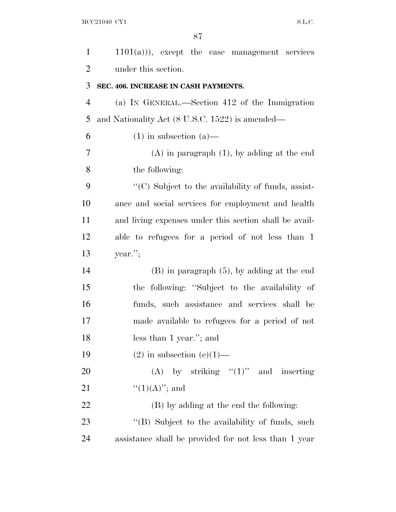| $\mathbf{1}$   | $1101(a))$ , except the case management services          |
|----------------|-----------------------------------------------------------|
| $\overline{2}$ | under this section.                                       |
| 3              | SEC. 406. INCREASE IN CASH PAYMENTS.                      |
| $\overline{4}$ | (a) IN GENERAL.—Section 412 of the Immigration            |
| 5              | and Nationality Act (8 U.S.C. 1522) is amended—           |
| 6              | $(1)$ in subsection $(a)$ —                               |
| 7              | $(A)$ in paragraph $(1)$ , by adding at the end           |
| 8              | the following:                                            |
| 9              | $\lq\lq$ C) Subject to the availability of funds, assist- |
| 10             | ance and social services for employment and health        |
| 11             | and living expenses under this section shall be avail-    |
| 12             | able to refugees for a period of not less than 1          |
| 13             | year.";                                                   |
| 14             | $(B)$ in paragraph $(5)$ , by adding at the end           |
| 15             | the following: "Subject to the availability of            |
| 16             | funds, such assistance and services shall be              |
| 17             | made available to refugees for a period of not            |
| 18             | less than 1 year."; and                                   |
| 19             | $(2)$ in subsection $(e)(1)$ —                            |
| 20             | (A) by striking " $(1)$ " and inserting                   |
| 21             | $``(1)(A)''$ ; and                                        |
| 22             | (B) by adding at the end the following:                   |
| 23             | "(B) Subject to the availability of funds, such           |
| 24             | assistance shall be provided for not less than 1 year     |
|                |                                                           |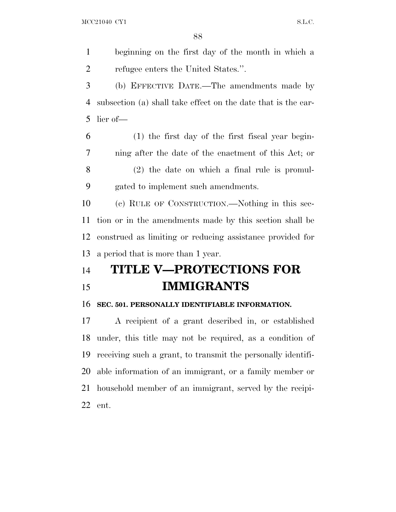beginning on the first day of the month in which a refugee enters the United States.''.

 (b) EFFECTIVE DATE.—The amendments made by subsection (a) shall take effect on the date that is the ear-lier of—

 (1) the first day of the first fiscal year begin- ning after the date of the enactment of this Act; or (2) the date on which a final rule is promul-gated to implement such amendments.

 (c) RULE OF CONSTRUCTION.—Nothing in this sec- tion or in the amendments made by this section shall be construed as limiting or reducing assistance provided for a period that is more than 1 year.

# **TITLE V—PROTECTIONS FOR IMMIGRANTS**

#### **SEC. 501. PERSONALLY IDENTIFIABLE INFORMATION.**

 A recipient of a grant described in, or established under, this title may not be required, as a condition of receiving such a grant, to transmit the personally identifi- able information of an immigrant, or a family member or household member of an immigrant, served by the recipi-ent.